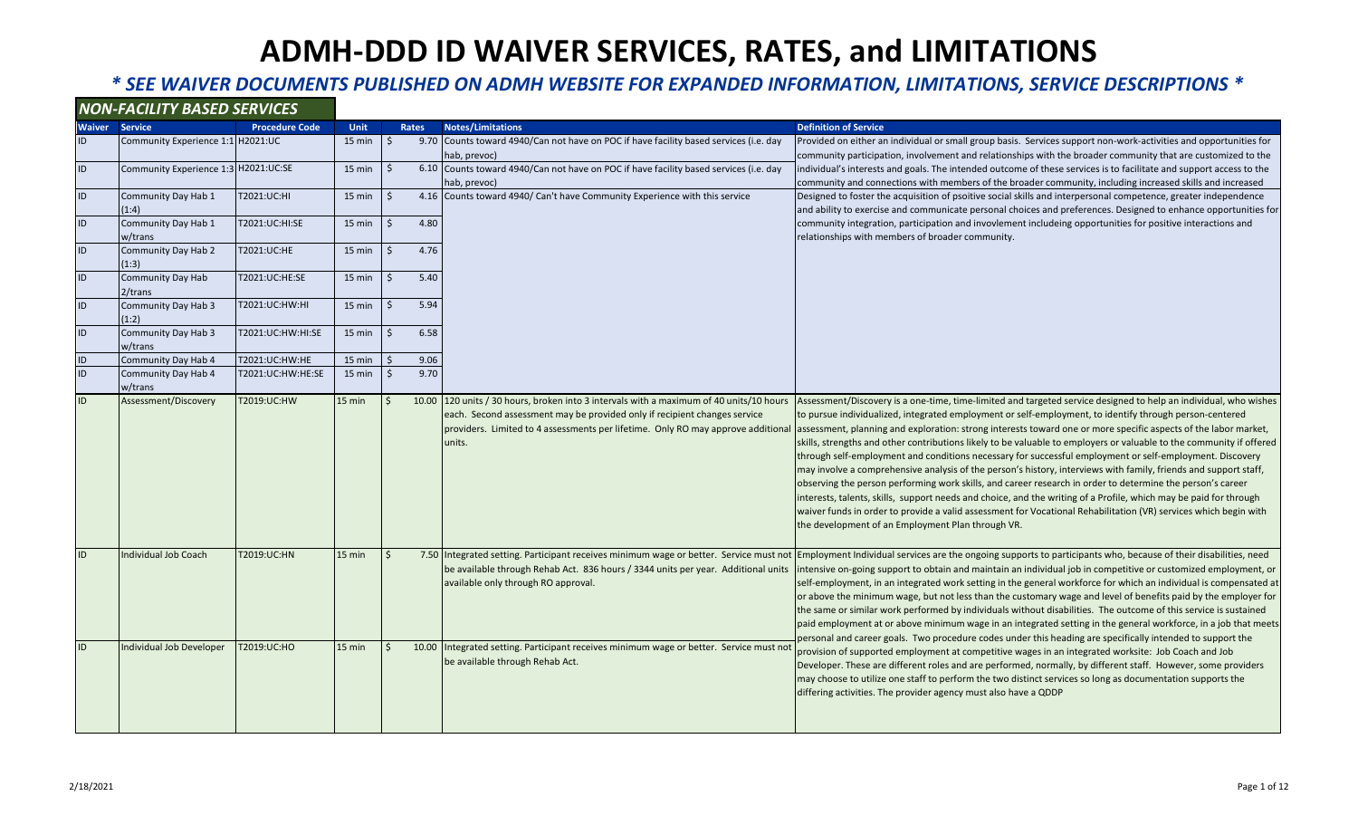### *\* SEE WAIVER DOCUMENTS PUBLISHED ON ADMH WEBSITE FOR EXPANDED INFORMATION, LIMITATIONS, SERVICE DESCRIPTIONS \**

#### *NON-FACILITY BASED SERVICES*

| <b>Waiver</b> | <b>Service</b>                       | <b>Procedure Code</b> | <b>Unit</b>      |                    | <b>Rates</b> | <b>Notes/Limitations</b>                                                                                                                                                                                                                                           | <b>Definition of Service</b>                                                                                                                                                                                                                                                                                                                                                                                                                                                                                                                                                                                                                                                                                                                                                                                                                                                                                                                                                                                                                                                                                       |
|---------------|--------------------------------------|-----------------------|------------------|--------------------|--------------|--------------------------------------------------------------------------------------------------------------------------------------------------------------------------------------------------------------------------------------------------------------------|--------------------------------------------------------------------------------------------------------------------------------------------------------------------------------------------------------------------------------------------------------------------------------------------------------------------------------------------------------------------------------------------------------------------------------------------------------------------------------------------------------------------------------------------------------------------------------------------------------------------------------------------------------------------------------------------------------------------------------------------------------------------------------------------------------------------------------------------------------------------------------------------------------------------------------------------------------------------------------------------------------------------------------------------------------------------------------------------------------------------|
| ID            | Community Experience 1:1 H2021:UC    |                       | $15$ min         | Ŝ.                 |              | 9.70 Counts toward 4940/Can not have on POC if have facility based services (i.e. day                                                                                                                                                                              | Provided on either an individual or small group basis. Services support non-work-activities and opportunities for                                                                                                                                                                                                                                                                                                                                                                                                                                                                                                                                                                                                                                                                                                                                                                                                                                                                                                                                                                                                  |
|               |                                      |                       |                  |                    |              | hab, prevoc)                                                                                                                                                                                                                                                       | community participation, involvement and relationships with the broader community that are customized to the                                                                                                                                                                                                                                                                                                                                                                                                                                                                                                                                                                                                                                                                                                                                                                                                                                                                                                                                                                                                       |
| ID            | Community Experience 1:3 H2021:UC:SE |                       | 15 min           | Ŝ.                 |              | 6.10 Counts toward 4940/Can not have on POC if have facility based services (i.e. day                                                                                                                                                                              | individual's interests and goals. The intended outcome of these services is to facilitate and support access to the                                                                                                                                                                                                                                                                                                                                                                                                                                                                                                                                                                                                                                                                                                                                                                                                                                                                                                                                                                                                |
|               |                                      |                       |                  |                    |              | hab, prevoc)                                                                                                                                                                                                                                                       | community and connections with members of the broader community, including increased skills and increased                                                                                                                                                                                                                                                                                                                                                                                                                                                                                                                                                                                                                                                                                                                                                                                                                                                                                                                                                                                                          |
| ID            | Community Day Hab 1                  | T2021:UC:HI           | 15 min           | Ŝ.                 |              | 4.16 Counts toward 4940/ Can't have Community Experience with this service                                                                                                                                                                                         | Designed to foster the acquisition of psoitive social skills and interpersonal competence, greater independence                                                                                                                                                                                                                                                                                                                                                                                                                                                                                                                                                                                                                                                                                                                                                                                                                                                                                                                                                                                                    |
|               | (1:4)                                |                       |                  |                    |              |                                                                                                                                                                                                                                                                    | and ability to exercise and communicate personal choices and preferences. Designed to enhance opportunities for                                                                                                                                                                                                                                                                                                                                                                                                                                                                                                                                                                                                                                                                                                                                                                                                                                                                                                                                                                                                    |
| ID            | Community Day Hab 1                  | T2021:UC:HI:SE        | 15 min           | $\mathsf{S}$       | 4.80         |                                                                                                                                                                                                                                                                    | community integration, participation and invovlement includeing opportunities for positive interactions and                                                                                                                                                                                                                                                                                                                                                                                                                                                                                                                                                                                                                                                                                                                                                                                                                                                                                                                                                                                                        |
|               | w/trans                              |                       |                  |                    |              |                                                                                                                                                                                                                                                                    | relationships with members of broader community.                                                                                                                                                                                                                                                                                                                                                                                                                                                                                                                                                                                                                                                                                                                                                                                                                                                                                                                                                                                                                                                                   |
| ID            | Community Day Hab 2                  | T2021:UC:HE           | 15 min           | $\mathsf{S}$       | 4.76         |                                                                                                                                                                                                                                                                    |                                                                                                                                                                                                                                                                                                                                                                                                                                                                                                                                                                                                                                                                                                                                                                                                                                                                                                                                                                                                                                                                                                                    |
|               | (1:3)                                |                       |                  |                    |              |                                                                                                                                                                                                                                                                    |                                                                                                                                                                                                                                                                                                                                                                                                                                                                                                                                                                                                                                                                                                                                                                                                                                                                                                                                                                                                                                                                                                                    |
| ID            | <b>Community Day Hab</b>             | T2021:UC:HE:SE        | $15$ min         | Ŝ.                 | 5.40         |                                                                                                                                                                                                                                                                    |                                                                                                                                                                                                                                                                                                                                                                                                                                                                                                                                                                                                                                                                                                                                                                                                                                                                                                                                                                                                                                                                                                                    |
|               | $2$ /trans                           |                       |                  |                    |              |                                                                                                                                                                                                                                                                    |                                                                                                                                                                                                                                                                                                                                                                                                                                                                                                                                                                                                                                                                                                                                                                                                                                                                                                                                                                                                                                                                                                                    |
| ID            | Community Day Hab 3                  | T2021:UC:HW:HI        | $15 \text{ min}$ | $\mathsf{S}$       | 5.94         |                                                                                                                                                                                                                                                                    |                                                                                                                                                                                                                                                                                                                                                                                                                                                                                                                                                                                                                                                                                                                                                                                                                                                                                                                                                                                                                                                                                                                    |
|               | (1:2)                                |                       |                  |                    |              |                                                                                                                                                                                                                                                                    |                                                                                                                                                                                                                                                                                                                                                                                                                                                                                                                                                                                                                                                                                                                                                                                                                                                                                                                                                                                                                                                                                                                    |
| ID            | Community Day Hab 3                  | T2021:UC:HW:HI:SE     | 15 min           | Ŝ.                 | 6.58         |                                                                                                                                                                                                                                                                    |                                                                                                                                                                                                                                                                                                                                                                                                                                                                                                                                                                                                                                                                                                                                                                                                                                                                                                                                                                                                                                                                                                                    |
|               | w/trans                              |                       |                  |                    |              |                                                                                                                                                                                                                                                                    |                                                                                                                                                                                                                                                                                                                                                                                                                                                                                                                                                                                                                                                                                                                                                                                                                                                                                                                                                                                                                                                                                                                    |
| ID            | Community Day Hab 4                  | T2021:UC:HW:HE        | 15 min           | -S                 | 9.06         |                                                                                                                                                                                                                                                                    |                                                                                                                                                                                                                                                                                                                                                                                                                                                                                                                                                                                                                                                                                                                                                                                                                                                                                                                                                                                                                                                                                                                    |
| ID            | Community Day Hab 4                  | T2021:UC:HW:HE:SE     | 15 min           | $\dot{\mathsf{S}}$ | 9.70         |                                                                                                                                                                                                                                                                    |                                                                                                                                                                                                                                                                                                                                                                                                                                                                                                                                                                                                                                                                                                                                                                                                                                                                                                                                                                                                                                                                                                                    |
|               | w/trans                              |                       |                  |                    |              |                                                                                                                                                                                                                                                                    |                                                                                                                                                                                                                                                                                                                                                                                                                                                                                                                                                                                                                                                                                                                                                                                                                                                                                                                                                                                                                                                                                                                    |
| ID            | Assessment/Discovery                 | T2019:UC:HW           | 15 min           | -S                 |              | 10.00 120 units / 30 hours, broken into 3 intervals with a maximum of 40 units/10 hours<br>each. Second assessment may be provided only if recipient changes service<br>providers. Limited to 4 assessments per lifetime. Only RO may approve additional<br>units. | Assessment/Discovery is a one-time, time-limited and targeted service designed to help an individual, who wishes<br>to pursue individualized, integrated employment or self-employment, to identify through person-centered<br>assessment, planning and exploration: strong interests toward one or more specific aspects of the labor market,<br>skills, strengths and other contributions likely to be valuable to employers or valuable to the community if offered<br>through self-employment and conditions necessary for successful employment or self-employment. Discovery<br>may involve a comprehensive analysis of the person's history, interviews with family, friends and support staff,<br>observing the person performing work skills, and career research in order to determine the person's career<br>interests, talents, skills, support needs and choice, and the writing of a Profile, which may be paid for through<br>waiver funds in order to provide a valid assessment for Vocational Rehabilitation (VR) services which begin with<br>the development of an Employment Plan through VR. |
| ID            | <b>Individual Job Coach</b>          | T2019:UC:HN           | $15$ min         |                    |              | 7.50 Integrated setting. Participant receives minimum wage or better. Service must not<br>be available through Rehab Act. 836 hours / 3344 units per year. Additional units<br>available only through RO approval.                                                 | Employment Individual services are the ongoing supports to participants who, because of their disabilities, need<br>intensive on-going support to obtain and maintain an individual job in competitive or customized employment, or<br>self-employment, in an integrated work setting in the general workforce for which an individual is compensated at<br>or above the minimum wage, but not less than the customary wage and level of benefits paid by the employer for<br>the same or similar work performed by individuals without disabilities. The outcome of this service is sustained<br>paid employment at or above minimum wage in an integrated setting in the general workforce, in a job that meets<br>personal and career goals. Two procedure codes under this heading are specifically intended to support the                                                                                                                                                                                                                                                                                    |
| ID            | Individual Job Developer             | T2019:UC:HO           | 15 min           | $\zeta$            |              | 10.00 Integrated setting. Participant receives minimum wage or better. Service must no<br>be available through Rehab Act.                                                                                                                                          | provision of supported employment at competitive wages in an integrated worksite: Job Coach and Job<br>Developer. These are different roles and are performed, normally, by different staff. However, some providers<br>may choose to utilize one staff to perform the two distinct services so long as documentation supports the<br>differing activities. The provider agency must also have a QDDP                                                                                                                                                                                                                                                                                                                                                                                                                                                                                                                                                                                                                                                                                                              |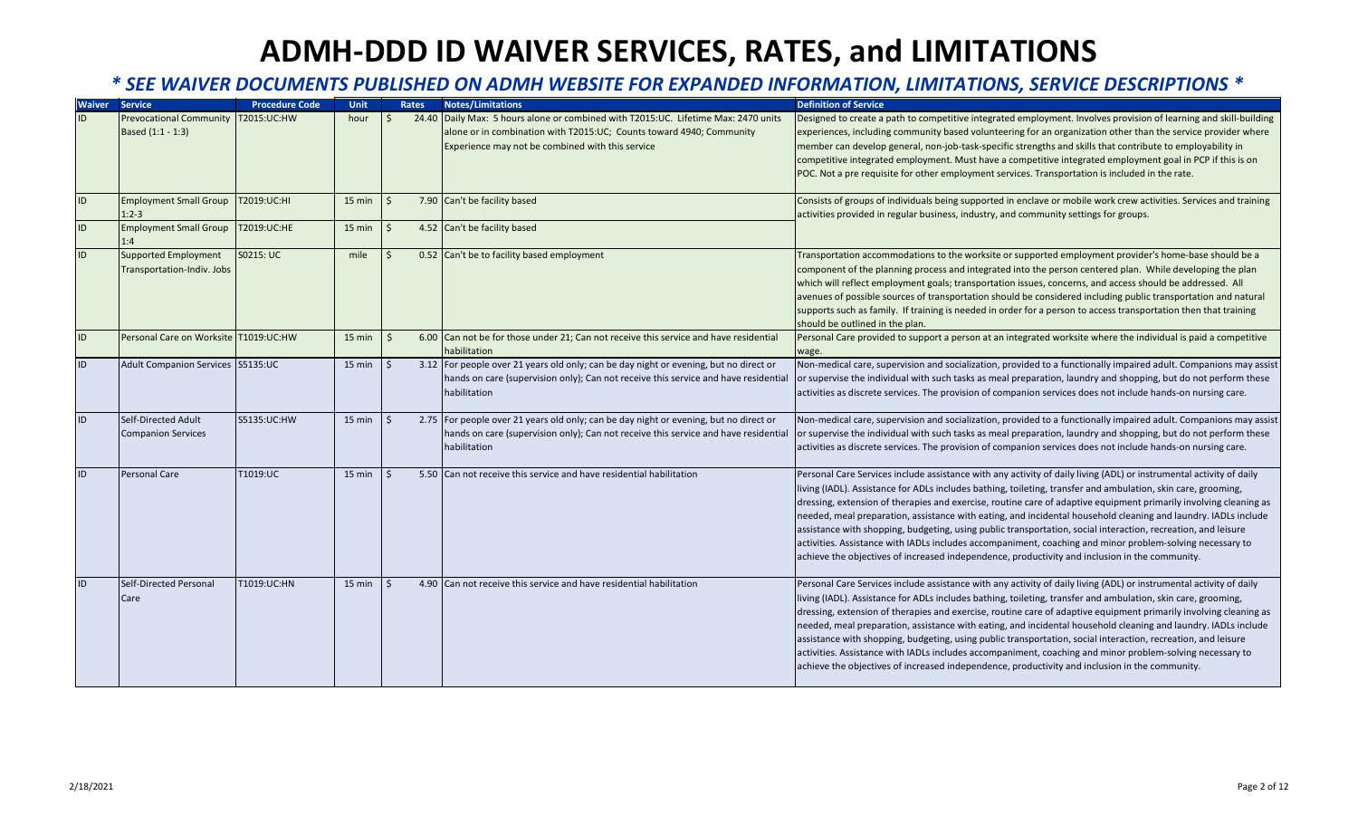| <b>Waiver</b> | <b>Service</b>                         | <b>Procedure Code</b> | Unit             |         | Rates | <b>Notes/Limitations</b>                                                              | <b>Definition of Service</b>                                                                                        |
|---------------|----------------------------------------|-----------------------|------------------|---------|-------|---------------------------------------------------------------------------------------|---------------------------------------------------------------------------------------------------------------------|
| ID            | <b>Prevocational Community</b>         | T2015:UC:HW           | hour             |         |       | 24.40 Daily Max: 5 hours alone or combined with T2015: UC. Lifetime Max: 2470 units   | Designed to create a path to competitive integrated employment. Involves provision of learning and skill-building   |
|               | Based (1:1 - 1:3)                      |                       |                  |         |       | alone or in combination with T2015:UC; Counts toward 4940; Community                  | experiences, including community based volunteering for an organization other than the service provider where       |
|               |                                        |                       |                  |         |       | Experience may not be combined with this service                                      | member can develop general, non-job-task-specific strengths and skills that contribute to employability in          |
|               |                                        |                       |                  |         |       |                                                                                       | competitive integrated employment. Must have a competitive integrated employment goal in PCP if this is on          |
|               |                                        |                       |                  |         |       |                                                                                       | POC. Not a pre requisite for other employment services. Transportation is included in the rate.                     |
| ID            | <b>Employment Small Group</b>          | T2019:UC:HI           | 15 min           | Ś       |       | 7.90 Can't be facility based                                                          | Consists of groups of individuals being supported in enclave or mobile work crew activities. Services and training  |
|               | $1:2-3$                                |                       |                  |         |       |                                                                                       | activities provided in regular business, industry, and community settings for groups.                               |
| ID            | <b>Employment Small Group</b><br>1:4   | T2019:UC:HE           | 15 min           | Ś       |       | 4.52 Can't be facility based                                                          |                                                                                                                     |
| ID            | Supported Employment                   | S0215: UC             | mile             | Ś       |       | 0.52 Can't be to facility based employment                                            | Transportation accommodations to the worksite or supported employment provider's home-base should be a              |
|               | Transportation-Indiv. Jobs             |                       |                  |         |       |                                                                                       | component of the planning process and integrated into the person centered plan. While developing the plan           |
|               |                                        |                       |                  |         |       |                                                                                       | which will reflect employment goals; transportation issues, concerns, and access should be addressed. All           |
|               |                                        |                       |                  |         |       |                                                                                       | avenues of possible sources of transportation should be considered including public transportation and natural      |
|               |                                        |                       |                  |         |       |                                                                                       | supports such as family. If training is needed in order for a person to access transportation then that training    |
|               |                                        |                       |                  |         |       |                                                                                       | should be outlined in the plan.                                                                                     |
| ID            | Personal Care on Worksite  T1019:UC:HW |                       | $15$ min         | Ŝ.      |       | 6.00 Can not be for those under 21; Can not receive this service and have residential | Personal Care provided to support a person at an integrated worksite where the individual is paid a competitive     |
|               |                                        |                       |                  |         |       | habilitation                                                                          | wage.                                                                                                               |
| ID            | Adult Companion Services S5135:UC      |                       | $15 \text{ min}$ |         |       | 3.12 For people over 21 years old only; can be day night or evening, but no direct or | Non-medical care, supervision and socialization, provided to a functionally impaired adult. Companions may assist   |
|               |                                        |                       |                  |         |       | hands on care (supervision only); Can not receive this service and have residential   | or supervise the individual with such tasks as meal preparation, laundry and shopping, but do not perform these     |
|               |                                        |                       |                  |         |       | habilitation                                                                          | activities as discrete services. The provision of companion services does not include hands-on nursing care.        |
| ID            | Self-Directed Adult                    | S5135:UC:HW           | $15 \text{ min}$ | $\zeta$ |       | 2.75 For people over 21 years old only; can be day night or evening, but no direct or | Non-medical care, supervision and socialization, provided to a functionally impaired adult. Companions may assist   |
|               | <b>Companion Services</b>              |                       |                  |         |       | hands on care (supervision only); Can not receive this service and have residential   | or supervise the individual with such tasks as meal preparation, laundry and shopping, but do not perform these     |
|               |                                        |                       |                  |         |       | habilitation                                                                          | activities as discrete services. The provision of companion services does not include hands-on nursing care.        |
| ID            | <b>Personal Care</b>                   | T1019:UC              | $15 \text{ min}$ | $\zeta$ |       | 5.50 Can not receive this service and have residential habilitation                   | Personal Care Services include assistance with any activity of daily living (ADL) or instrumental activity of daily |
|               |                                        |                       |                  |         |       |                                                                                       | living (IADL). Assistance for ADLs includes bathing, toileting, transfer and ambulation, skin care, grooming,       |
|               |                                        |                       |                  |         |       |                                                                                       | dressing, extension of therapies and exercise, routine care of adaptive equipment primarily involving cleaning as   |
|               |                                        |                       |                  |         |       |                                                                                       | needed, meal preparation, assistance with eating, and incidental household cleaning and laundry. IADLs include      |
|               |                                        |                       |                  |         |       |                                                                                       | assistance with shopping, budgeting, using public transportation, social interaction, recreation, and leisure       |
|               |                                        |                       |                  |         |       |                                                                                       | activities. Assistance with IADLs includes accompaniment, coaching and minor problem-solving necessary to           |
|               |                                        |                       |                  |         |       |                                                                                       | achieve the objectives of increased independence, productivity and inclusion in the community.                      |
| ID            | Self-Directed Personal                 | T1019:UC:HN           | $15 \text{ min}$ | ς       |       | 4.90 Can not receive this service and have residential habilitation                   | Personal Care Services include assistance with any activity of daily living (ADL) or instrumental activity of daily |
|               | Care                                   |                       |                  |         |       |                                                                                       | living (IADL). Assistance for ADLs includes bathing, toileting, transfer and ambulation, skin care, grooming,       |
|               |                                        |                       |                  |         |       |                                                                                       | dressing, extension of therapies and exercise, routine care of adaptive equipment primarily involving cleaning as   |
|               |                                        |                       |                  |         |       |                                                                                       | needed, meal preparation, assistance with eating, and incidental household cleaning and laundry. IADLs include      |
|               |                                        |                       |                  |         |       |                                                                                       | assistance with shopping, budgeting, using public transportation, social interaction, recreation, and leisure       |
|               |                                        |                       |                  |         |       |                                                                                       | activities. Assistance with IADLs includes accompaniment, coaching and minor problem-solving necessary to           |
|               |                                        |                       |                  |         |       |                                                                                       | achieve the objectives of increased independence, productivity and inclusion in the community.                      |
|               |                                        |                       |                  |         |       |                                                                                       |                                                                                                                     |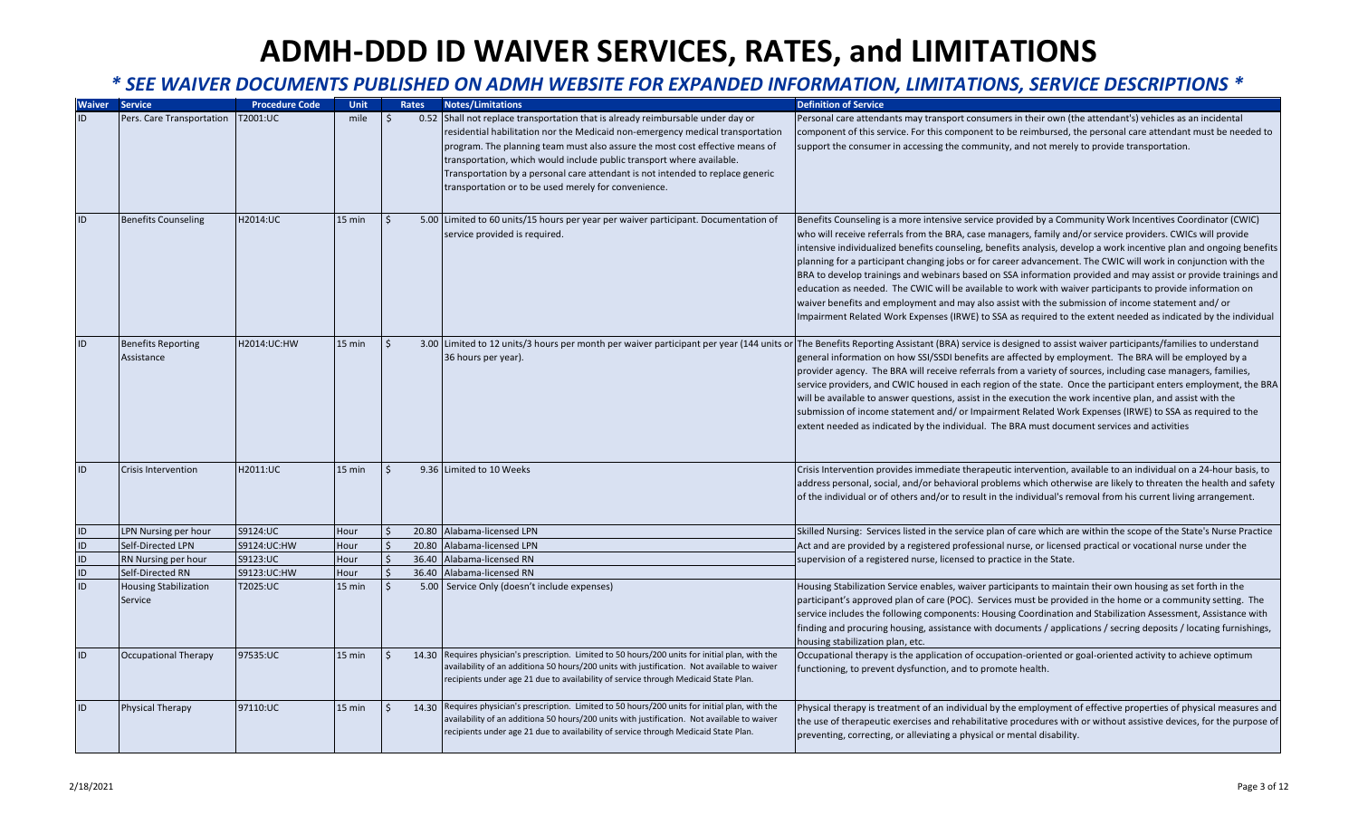| <b>Waiver</b>                    | <b>Service</b>                          | <b>Procedure Code</b>   | <b>Unit</b>  |                               | Rates | <b>Notes/Limitations</b>                                                                                                                                                           | <b>Definition of Service</b>                                                                                                                                                                             |
|----------------------------------|-----------------------------------------|-------------------------|--------------|-------------------------------|-------|------------------------------------------------------------------------------------------------------------------------------------------------------------------------------------|----------------------------------------------------------------------------------------------------------------------------------------------------------------------------------------------------------|
| ID                               | Pers. Care Transportation               | [2001:UC                | mile         |                               |       | 0.52 Shall not replace transportation that is already reimbursable under day or                                                                                                    | Personal care attendants may transport consumers in their own (the attendant's) vehicles as an incidental                                                                                                |
|                                  |                                         |                         |              |                               |       | residential habilitation nor the Medicaid non-emergency medical transportation                                                                                                     | component of this service. For this component to be reimbursed, the personal care attendant must be needed to                                                                                            |
|                                  |                                         |                         |              |                               |       | program. The planning team must also assure the most cost effective means of                                                                                                       | support the consumer in accessing the community, and not merely to provide transportation.                                                                                                               |
|                                  |                                         |                         |              |                               |       | transportation, which would include public transport where available.                                                                                                              |                                                                                                                                                                                                          |
|                                  |                                         |                         |              |                               |       | Transportation by a personal care attendant is not intended to replace generic                                                                                                     |                                                                                                                                                                                                          |
|                                  |                                         |                         |              |                               |       | transportation or to be used merely for convenience.                                                                                                                               |                                                                                                                                                                                                          |
| ID                               | <b>Benefits Counseling</b>              | H2014:UC                | $15$ min     | $\zeta$                       |       | 5.00 Limited to 60 units/15 hours per year per waiver participant. Documentation of                                                                                                | Benefits Counseling is a more intensive service provided by a Community Work Incentives Coordinator (CWIC)                                                                                               |
|                                  |                                         |                         |              |                               |       | service provided is required.                                                                                                                                                      | who will receive referrals from the BRA, case managers, family and/or service providers. CWICs will provide                                                                                              |
|                                  |                                         |                         |              |                               |       |                                                                                                                                                                                    | intensive individualized benefits counseling, benefits analysis, develop a work incentive plan and ongoing benefits                                                                                      |
|                                  |                                         |                         |              |                               |       |                                                                                                                                                                                    | planning for a participant changing jobs or for career advancement. The CWIC will work in conjunction with the                                                                                           |
|                                  |                                         |                         |              |                               |       |                                                                                                                                                                                    | BRA to develop trainings and webinars based on SSA information provided and may assist or provide trainings and                                                                                          |
|                                  |                                         |                         |              |                               |       |                                                                                                                                                                                    | education as needed. The CWIC will be available to work with waiver participants to provide information on                                                                                               |
|                                  |                                         |                         |              |                               |       |                                                                                                                                                                                    | waiver benefits and employment and may also assist with the submission of income statement and/or                                                                                                        |
|                                  |                                         |                         |              |                               |       |                                                                                                                                                                                    | Impairment Related Work Expenses (IRWE) to SSA as required to the extent needed as indicated by the individual                                                                                           |
| ID                               | <b>Benefits Reporting</b>               | H2014:UC:HW             | 15 min       | $\zeta$                       |       |                                                                                                                                                                                    | 3.00 Limited to 12 units/3 hours per month per waiver participant per year (144 units or The Benefits Reporting Assistant (BRA) service is designed to assist waiver participants/families to understand |
|                                  | Assistance                              |                         |              |                               |       | 36 hours per year).                                                                                                                                                                | general information on how SSI/SSDI benefits are affected by employment. The BRA will be employed by a                                                                                                   |
|                                  |                                         |                         |              |                               |       |                                                                                                                                                                                    | provider agency. The BRA will receive referrals from a variety of sources, including case managers, families,                                                                                            |
|                                  |                                         |                         |              |                               |       |                                                                                                                                                                                    | service providers, and CWIC housed in each region of the state. Once the participant enters employment, the BRA                                                                                          |
|                                  |                                         |                         |              |                               |       |                                                                                                                                                                                    | will be available to answer questions, assist in the execution the work incentive plan, and assist with the                                                                                              |
|                                  |                                         |                         |              |                               |       |                                                                                                                                                                                    | submission of income statement and/ or Impairment Related Work Expenses (IRWE) to SSA as required to the                                                                                                 |
|                                  |                                         |                         |              |                               |       |                                                                                                                                                                                    | extent needed as indicated by the individual. The BRA must document services and activities                                                                                                              |
|                                  |                                         |                         |              |                               |       |                                                                                                                                                                                    |                                                                                                                                                                                                          |
| ID                               | Crisis Intervention                     | H2011:UC                | 15 min       | $\zeta$                       |       | 9.36 Limited to 10 Weeks                                                                                                                                                           | Crisis Intervention provides immediate therapeutic intervention, available to an individual on a 24-hour basis, to                                                                                       |
|                                  |                                         |                         |              |                               |       |                                                                                                                                                                                    | address personal, social, and/or behavioral problems which otherwise are likely to threaten the health and safety                                                                                        |
|                                  |                                         |                         |              |                               |       |                                                                                                                                                                                    | of the individual or of others and/or to result in the individual's removal from his current living arrangement.                                                                                         |
|                                  |                                         |                         |              |                               |       |                                                                                                                                                                                    |                                                                                                                                                                                                          |
| ID                               | LPN Nursing per hour                    | S9124:UC                | Hour         | $\zeta$                       | 20.80 | Alabama-licensed LPN                                                                                                                                                               | Skilled Nursing: Services listed in the service plan of care which are within the scope of the State's Nurse Practice                                                                                    |
| $\overline{1}$<br>$\overline{1}$ | Self-Directed LPN                       | S9124:UC:HW<br>S9123:UC | Hour<br>Hour | $\zeta$<br>$\dot{\mathsf{S}}$ | 20.80 | Alabama-licensed LPN<br>36.40 Alabama-licensed RN                                                                                                                                  | Act and are provided by a registered professional nurse, or licensed practical or vocational nurse under the                                                                                             |
|                                  | RN Nursing per hour<br>Self-Directed RN | S9123:UC:HW             | Hour         |                               | 36.40 | Alabama-licensed RN                                                                                                                                                                | supervision of a registered nurse, licensed to practice in the State.                                                                                                                                    |
| $\frac{1}{10}$                   | <b>Housing Stabilization</b>            | T2025:UC                | 15 min       |                               |       | 5.00 Service Only (doesn't include expenses)                                                                                                                                       | Housing Stabilization Service enables, waiver participants to maintain their own housing as set forth in the                                                                                             |
|                                  | Service                                 |                         |              |                               |       |                                                                                                                                                                                    | participant's approved plan of care (POC). Services must be provided in the home or a community setting. The                                                                                             |
|                                  |                                         |                         |              |                               |       |                                                                                                                                                                                    | service includes the following components: Housing Coordination and Stabilization Assessment, Assistance with                                                                                            |
|                                  |                                         |                         |              |                               |       |                                                                                                                                                                                    | finding and procuring housing, assistance with documents / applications / secring deposits / locating furnishings,                                                                                       |
|                                  |                                         |                         |              |                               |       |                                                                                                                                                                                    | housing stabilization plan, etc.                                                                                                                                                                         |
| ID                               | <b>Occupational Therapy</b>             | 97535:UC                | 15 min       | $\zeta$                       |       | 14.30 Requires physician's prescription. Limited to 50 hours/200 units for initial plan, with the                                                                                  | Occupational therapy is the application of occupation-oriented or goal-oriented activity to achieve optimum                                                                                              |
|                                  |                                         |                         |              |                               |       | availability of an additiona 50 hours/200 units with justification. Not available to waiver<br>recipients under age 21 due to availability of service through Medicaid State Plan. | functioning, to prevent dysfunction, and to promote health.                                                                                                                                              |
|                                  |                                         |                         |              |                               |       |                                                                                                                                                                                    |                                                                                                                                                                                                          |
| ID                               | <b>Physical Therapy</b>                 | 97110:UC                | 15 min       | Ŝ.                            |       | 14.30 Requires physician's prescription. Limited to 50 hours/200 units for initial plan, with the                                                                                  | Physical therapy is treatment of an individual by the employment of effective properties of physical measures and                                                                                        |
|                                  |                                         |                         |              |                               |       | availability of an additiona 50 hours/200 units with justification. Not available to waiver                                                                                        | the use of therapeutic exercises and rehabilitative procedures with or without assistive devices, for the purpose of                                                                                     |
|                                  |                                         |                         |              |                               |       | recipients under age 21 due to availability of service through Medicaid State Plan.                                                                                                | preventing, correcting, or alleviating a physical or mental disability.                                                                                                                                  |
|                                  |                                         |                         |              |                               |       |                                                                                                                                                                                    |                                                                                                                                                                                                          |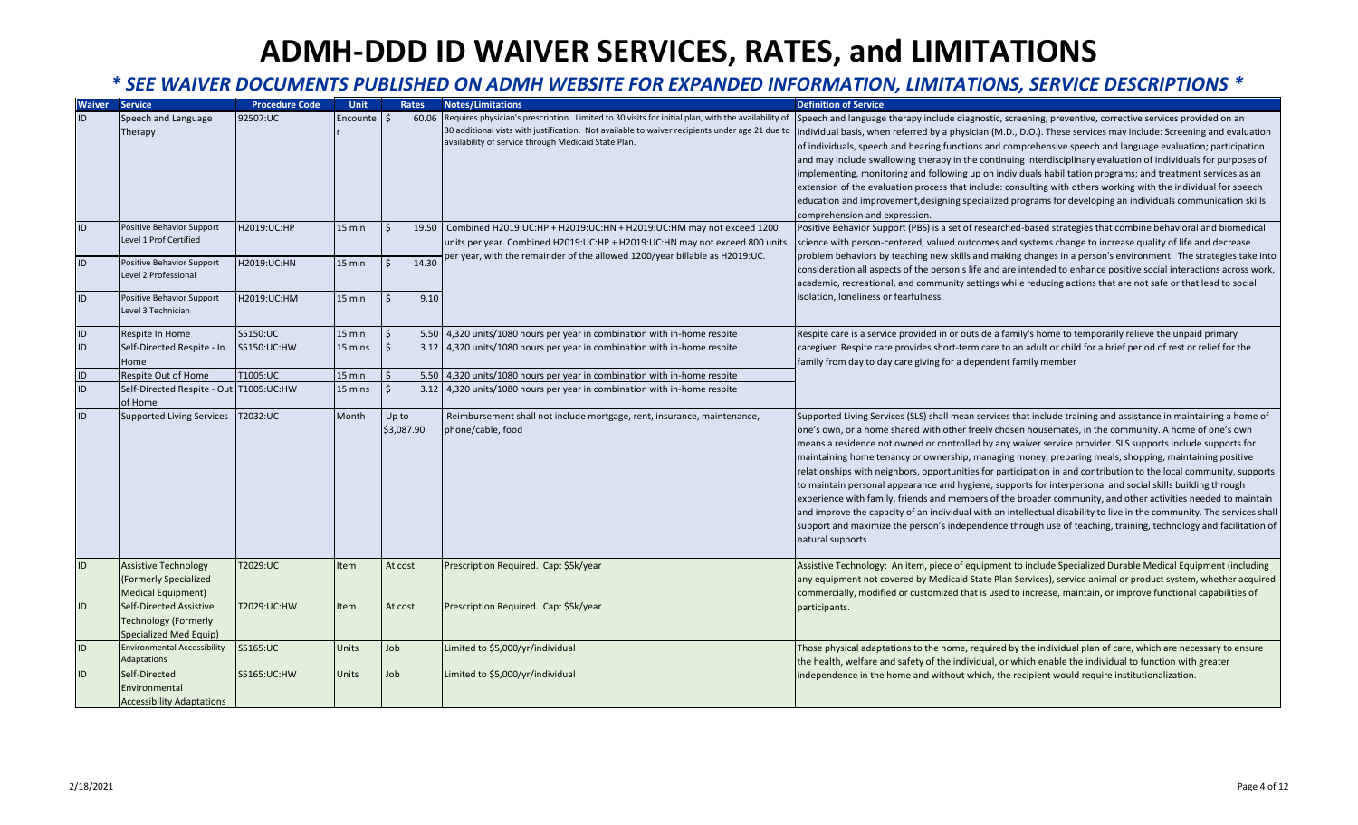| <b>Waiver</b>   | <b>Service</b>                          | <b>Procedure Code</b> | Unit                | Rates      | <b>Notes/Limitations</b>                                                                           | <b>Definition of Service</b>                                                                                           |
|-----------------|-----------------------------------------|-----------------------|---------------------|------------|----------------------------------------------------------------------------------------------------|------------------------------------------------------------------------------------------------------------------------|
| ID              | Speech and Language                     | 92507:UC              | Encounte $\vert$ \$ | 60.06      | Requires physician's prescription. Limited to 30 visits for initial plan, with the availability of | Speech and language therapy include diagnostic, screening, preventive, corrective services provided on an              |
|                 | Therapy                                 |                       |                     |            | 30 additional vists with justification. Not available to waiver recipients under age 21 due to     | individual basis, when referred by a physician (M.D., D.O.). These services may include: Screening and evaluation      |
|                 |                                         |                       |                     |            | availability of service through Medicaid State Plan.                                               | of individuals, speech and hearing functions and comprehensive speech and language evaluation; participation           |
|                 |                                         |                       |                     |            |                                                                                                    | and may include swallowing therapy in the continuing interdisciplinary evaluation of individuals for purposes of       |
|                 |                                         |                       |                     |            |                                                                                                    | implementing, monitoring and following up on individuals habilitation programs; and treatment services as an           |
|                 |                                         |                       |                     |            |                                                                                                    | extension of the evaluation process that include: consulting with others working with the individual for speech        |
|                 |                                         |                       |                     |            |                                                                                                    | education and improvement, designing specialized programs for developing an individuals communication skills           |
|                 |                                         |                       |                     |            |                                                                                                    | comprehension and expression.                                                                                          |
| ID              | Positive Behavior Support               | H2019:UC:HP           | 15 min              | Ŝ.         | 19.50 Combined H2019:UC:HP + H2019:UC:HN + H2019:UC:HM may not exceed 1200                         | Positive Behavior Support (PBS) is a set of researched-based strategies that combine behavioral and biomedical         |
|                 | Level 1 Prof Certified                  |                       |                     |            | units per year. Combined H2019: UC: HP + H2019: UC: HN may not exceed 800 units                    | science with person-centered, valued outcomes and systems change to increase quality of life and decrease              |
| ID              | Positive Behavior Support               | H2019:UC:HN           | 15 min              | 14.30      | oer year, with the remainder of the allowed 1200/year billable as H2019:UC.                        | problem behaviors by teaching new skills and making changes in a person's environment. The strategies take into        |
|                 | Level 2 Professional                    |                       |                     |            |                                                                                                    | consideration all aspects of the person's life and are intended to enhance positive social interactions across work,   |
|                 |                                         |                       |                     |            |                                                                                                    | academic, recreational, and community settings while reducing actions that are not safe or that lead to social         |
| ID              | Positive Behavior Support               | H2019:UC:HM           | 15 min              | 9.10       |                                                                                                    | isolation, loneliness or fearfulness.                                                                                  |
|                 | Level 3 Technician                      |                       |                     |            |                                                                                                    |                                                                                                                        |
| ID              | Respite In Home                         | S5150:UC              | $15$ min            |            | 5.50 4,320 units/1080 hours per year in combination with in-home respite                           | Respite care is a service provided in or outside a family's home to temporarily relieve the unpaid primary             |
| ID              | Self-Directed Respite - In              | S5150:UC:HW           | 15 mins             |            | 3.12 4,320 units/1080 hours per year in combination with in-home respite                           | caregiver. Respite care provides short-term care to an adult or child for a brief period of rest or relief for the     |
|                 | Home                                    |                       |                     |            |                                                                                                    | family from day to day care giving for a dependent family member                                                       |
| $\mathsf{ID}$   | Respite Out of Home                     | T1005:UC              | 15 min              |            | 5.50 4,320 units/1080 hours per year in combination with in-home respite                           |                                                                                                                        |
| $\overline{1D}$ | Self-Directed Respite - Out T1005:UC:HW |                       | 15 mins             |            | 3.12 4,320 units/1080 hours per year in combination with in-home respite                           |                                                                                                                        |
|                 | of Home                                 |                       |                     |            |                                                                                                    |                                                                                                                        |
| ID              | Supported Living Services T2032:UC      |                       | Month               | Up to      | Reimbursement shall not include mortgage, rent, insurance, maintenance,                            | Supported Living Services (SLS) shall mean services that include training and assistance in maintaining a home of      |
|                 |                                         |                       |                     | \$3,087.90 | phone/cable, food                                                                                  | one's own, or a home shared with other freely chosen housemates, in the community. A home of one's own                 |
|                 |                                         |                       |                     |            |                                                                                                    | means a residence not owned or controlled by any waiver service provider. SLS supports include supports for            |
|                 |                                         |                       |                     |            |                                                                                                    | maintaining home tenancy or ownership, managing money, preparing meals, shopping, maintaining positive                 |
|                 |                                         |                       |                     |            |                                                                                                    | relationships with neighbors, opportunities for participation in and contribution to the local community, supports     |
|                 |                                         |                       |                     |            |                                                                                                    | to maintain personal appearance and hygiene, supports for interpersonal and social skills building through             |
|                 |                                         |                       |                     |            |                                                                                                    | experience with family, friends and members of the broader community, and other activities needed to maintain          |
|                 |                                         |                       |                     |            |                                                                                                    | and improve the capacity of an individual with an intellectual disability to live in the community. The services shall |
|                 |                                         |                       |                     |            |                                                                                                    | support and maximize the person's independence through use of teaching, training, technology and facilitation of       |
|                 |                                         |                       |                     |            |                                                                                                    | natural supports                                                                                                       |
| ID              | <b>Assistive Technology</b>             | T2029:UC              | Item                | At cost    | Prescription Required. Cap: \$5k/year                                                              | Assistive Technology: An item, piece of equipment to include Specialized Durable Medical Equipment (including          |
|                 | (Formerly Specialized                   |                       |                     |            |                                                                                                    | any equipment not covered by Medicaid State Plan Services), service animal or product system, whether acquired         |
|                 | <b>Medical Equipment)</b>               |                       |                     |            |                                                                                                    | commercially, modified or customized that is used to increase, maintain, or improve functional capabilities of         |
| ID              | Self-Directed Assistive                 | T2029:UC:HW           | Item                | At cost    | Prescription Required. Cap: \$5k/year                                                              | participants.                                                                                                          |
|                 | <b>Technology (Formerly</b>             |                       |                     |            |                                                                                                    |                                                                                                                        |
|                 | Specialized Med Equip)                  |                       |                     |            |                                                                                                    |                                                                                                                        |
| ID              | <b>Environmental Accessibility</b>      | S5165:UC              | Units               | Job        | Limited to \$5,000/yr/individual                                                                   | Those physical adaptations to the home, required by the individual plan of care, which are necessary to ensure         |
|                 | Adaptations                             |                       |                     |            |                                                                                                    | the health, welfare and safety of the individual, or which enable the individual to function with greater              |
| ID              | Self-Directed                           | S5165:UC:HW           | <b>Units</b>        | Job        | Limited to \$5,000/yr/individual                                                                   | independence in the home and without which, the recipient would require institutionalization.                          |
|                 | Environmental                           |                       |                     |            |                                                                                                    |                                                                                                                        |
|                 | <b>Accessibility Adaptations</b>        |                       |                     |            |                                                                                                    |                                                                                                                        |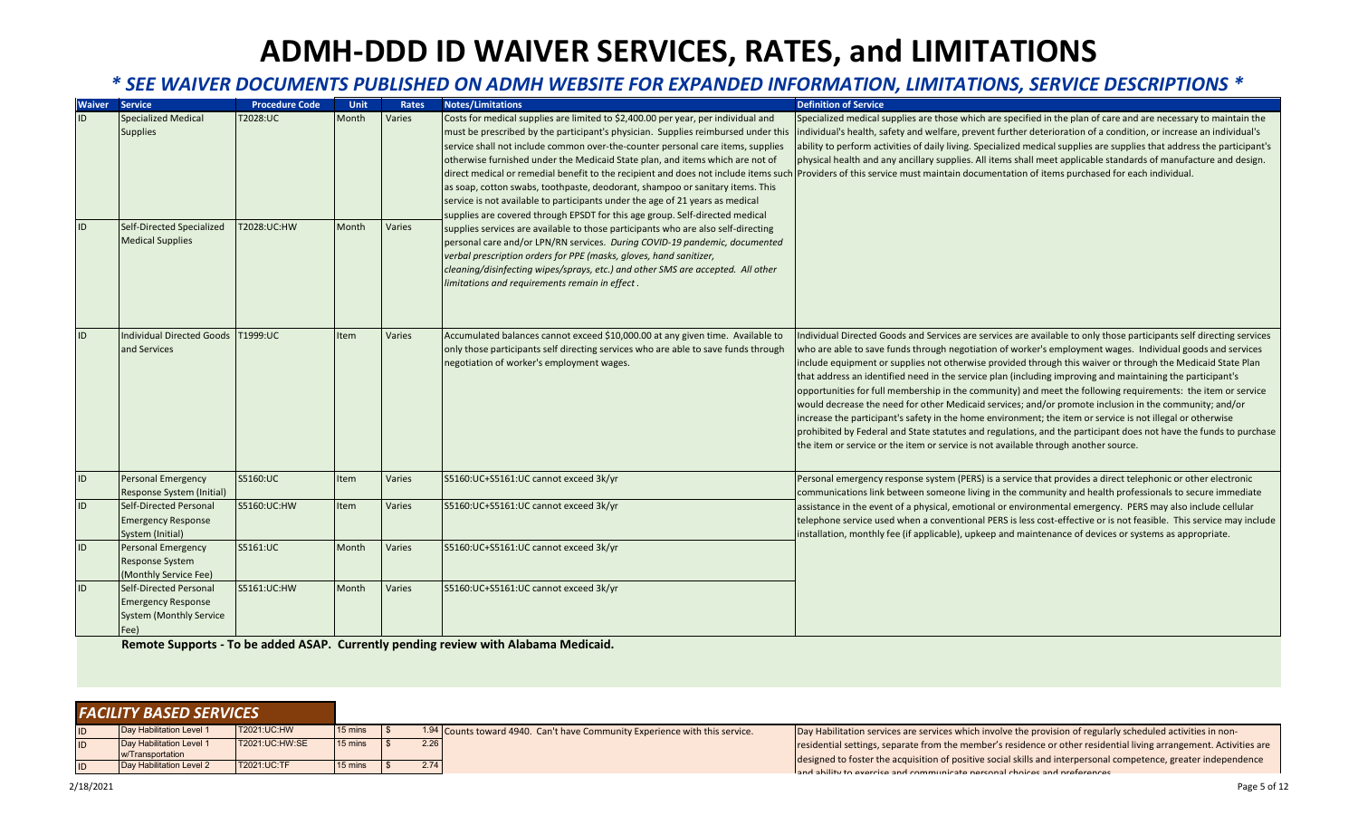#### *\* SEE WAIVER DOCUMENTS PUBLISHED ON ADMH WEBSITE FOR EXPANDED INFORMATION, LIMITATIONS, SERVICE DESCRIPTIONS \**

| <b>Waiver</b> | Service                                                                                       | <b>Procedure Code</b> | Unit  | Rates  | <b>Notes/Limitations</b>                                                                                                                                                                                                                                                                                                                                                                                                                                                                                                                                                                                                                                                            | <b>Definition of Service</b>                                                                                                                                                                                                                                                                                                                                                                                                                                                                                                                                                                                                                                                                                                                                                                                                                                                                                                                                                                                        |
|---------------|-----------------------------------------------------------------------------------------------|-----------------------|-------|--------|-------------------------------------------------------------------------------------------------------------------------------------------------------------------------------------------------------------------------------------------------------------------------------------------------------------------------------------------------------------------------------------------------------------------------------------------------------------------------------------------------------------------------------------------------------------------------------------------------------------------------------------------------------------------------------------|---------------------------------------------------------------------------------------------------------------------------------------------------------------------------------------------------------------------------------------------------------------------------------------------------------------------------------------------------------------------------------------------------------------------------------------------------------------------------------------------------------------------------------------------------------------------------------------------------------------------------------------------------------------------------------------------------------------------------------------------------------------------------------------------------------------------------------------------------------------------------------------------------------------------------------------------------------------------------------------------------------------------|
| ID            | <b>Specialized Medical</b><br><b>Supplies</b>                                                 | T2028:UC              | Month | Varies | Costs for medical supplies are limited to \$2,400.00 per year, per individual and<br>must be prescribed by the participant's physician. Supplies reimbursed under this<br>service shall not include common over-the-counter personal care items, supplies<br>otherwise furnished under the Medicaid State plan, and items which are not of<br>direct medical or remedial benefit to the recipient and does not include items such<br>as soap, cotton swabs, toothpaste, deodorant, shampoo or sanitary items. This<br>service is not available to participants under the age of 21 years as medical<br>supplies are covered through EPSDT for this age group. Self-directed medical | Specialized medical supplies are those which are specified in the plan of care and are necessary to maintain the<br>individual's health, safety and welfare, prevent further deterioration of a condition, or increase an individual's<br>ability to perform activities of daily living. Specialized medical supplies are supplies that address the participant's<br>physical health and any ancillary supplies. All items shall meet applicable standards of manufacture and design.<br>Providers of this service must maintain documentation of items purchased for each individual.                                                                                                                                                                                                                                                                                                                                                                                                                              |
| ID            | Self-Directed Specialized<br><b>Medical Supplies</b>                                          | T2028:UC:HW           | Month | Varies | supplies services are available to those participants who are also self-directing<br>personal care and/or LPN/RN services. During COVID-19 pandemic, documented<br>verbal prescription orders for PPE (masks, gloves, hand sanitizer,<br>cleaning/disinfecting wipes/sprays, etc.) and other SMS are accepted. All other<br>limitations and requirements remain in effect.                                                                                                                                                                                                                                                                                                          |                                                                                                                                                                                                                                                                                                                                                                                                                                                                                                                                                                                                                                                                                                                                                                                                                                                                                                                                                                                                                     |
| ID            | <b>Individual Directed Goods</b><br>and Services                                              | T1999:UC              | ltem  | Varies | Accumulated balances cannot exceed \$10,000.00 at any given time. Available to<br>only those participants self directing services who are able to save funds through<br>negotiation of worker's employment wages.                                                                                                                                                                                                                                                                                                                                                                                                                                                                   | Individual Directed Goods and Services are services are available to only those participants self directing services<br>who are able to save funds through negotiation of worker's employment wages. Individual goods and services<br>include equipment or supplies not otherwise provided through this waiver or through the Medicaid State Plan<br>that address an identified need in the service plan (including improving and maintaining the participant's<br>opportunities for full membership in the community) and meet the following requirements: the item or service<br>would decrease the need for other Medicaid services; and/or promote inclusion in the community; and/or<br>increase the participant's safety in the home environment; the item or service is not illegal or otherwise<br>prohibited by Federal and State statutes and regulations, and the participant does not have the funds to purchase<br>the item or service or the item or service is not available through another source. |
| ID            | Personal Emergency<br>Response System (Initial)                                               | S5160:UC              | Item  | Varies | S5160:UC+S5161:UC cannot exceed 3k/yr                                                                                                                                                                                                                                                                                                                                                                                                                                                                                                                                                                                                                                               | Personal emergency response system (PERS) is a service that provides a direct telephonic or other electronic<br>communications link between someone living in the community and health professionals to secure immediate                                                                                                                                                                                                                                                                                                                                                                                                                                                                                                                                                                                                                                                                                                                                                                                            |
| ID            | Self-Directed Personal<br><b>Emergency Response</b><br>System (Initial)                       | S5160:UC:HW           | tem   | Varies | S5160:UC+S5161:UC cannot exceed 3k/yr                                                                                                                                                                                                                                                                                                                                                                                                                                                                                                                                                                                                                                               | assistance in the event of a physical, emotional or environmental emergency. PERS may also include cellular<br>telephone service used when a conventional PERS is less cost-effective or is not feasible. This service may include<br>installation, monthly fee (if applicable), upkeep and maintenance of devices or systems as appropriate.                                                                                                                                                                                                                                                                                                                                                                                                                                                                                                                                                                                                                                                                       |
| ID            | Personal Emergency<br><b>Response System</b><br>(Monthly Service Fee)                         | S5161:UC              | Month | Varies | S5160:UC+S5161:UC cannot exceed 3k/yr                                                                                                                                                                                                                                                                                                                                                                                                                                                                                                                                                                                                                                               |                                                                                                                                                                                                                                                                                                                                                                                                                                                                                                                                                                                                                                                                                                                                                                                                                                                                                                                                                                                                                     |
| ID            | Self-Directed Personal<br><b>Emergency Response</b><br><b>System (Monthly Service</b><br>Fee) | S5161:UC:HW           | Month | Varies | S5160:UC+S5161:UC cannot exceed 3k/yr                                                                                                                                                                                                                                                                                                                                                                                                                                                                                                                                                                                                                                               |                                                                                                                                                                                                                                                                                                                                                                                                                                                                                                                                                                                                                                                                                                                                                                                                                                                                                                                                                                                                                     |

**Remote Supports - To be added ASAP. Currently pending review with Alabama Medicaid.**

| <b>FACILITY BASED SERVICES</b>               |                |         |                |      |                                                                             |                                                                                                                                                                                                                                       |
|----------------------------------------------|----------------|---------|----------------|------|-----------------------------------------------------------------------------|---------------------------------------------------------------------------------------------------------------------------------------------------------------------------------------------------------------------------------------|
| Day Habilitation Level 1                     | T2021:UC:HW    | 15 mins | $\blacksquare$ |      | 1.94 Counts toward 4940. Can't have Community Experience with this service. | Day Habilitation services are services which involve the provision of regularly scheduled activities in non-                                                                                                                          |
| Day Habilitation Level 1<br>w/Transportation | T2021:UC:HW:SE | 15 mins |                | 2.26 |                                                                             | residential settings, separate from the member's residence or other residential living arrangement. Activities are<br>designed to foster the acquisition of positive social skills and interpersonal competence, greater independence |
| Day Habilitation Level 2                     | T2021:UC:TF    | 15 mins |                | 2.74 |                                                                             | Land ability to exercise and communicate personal choices and preferences                                                                                                                                                             |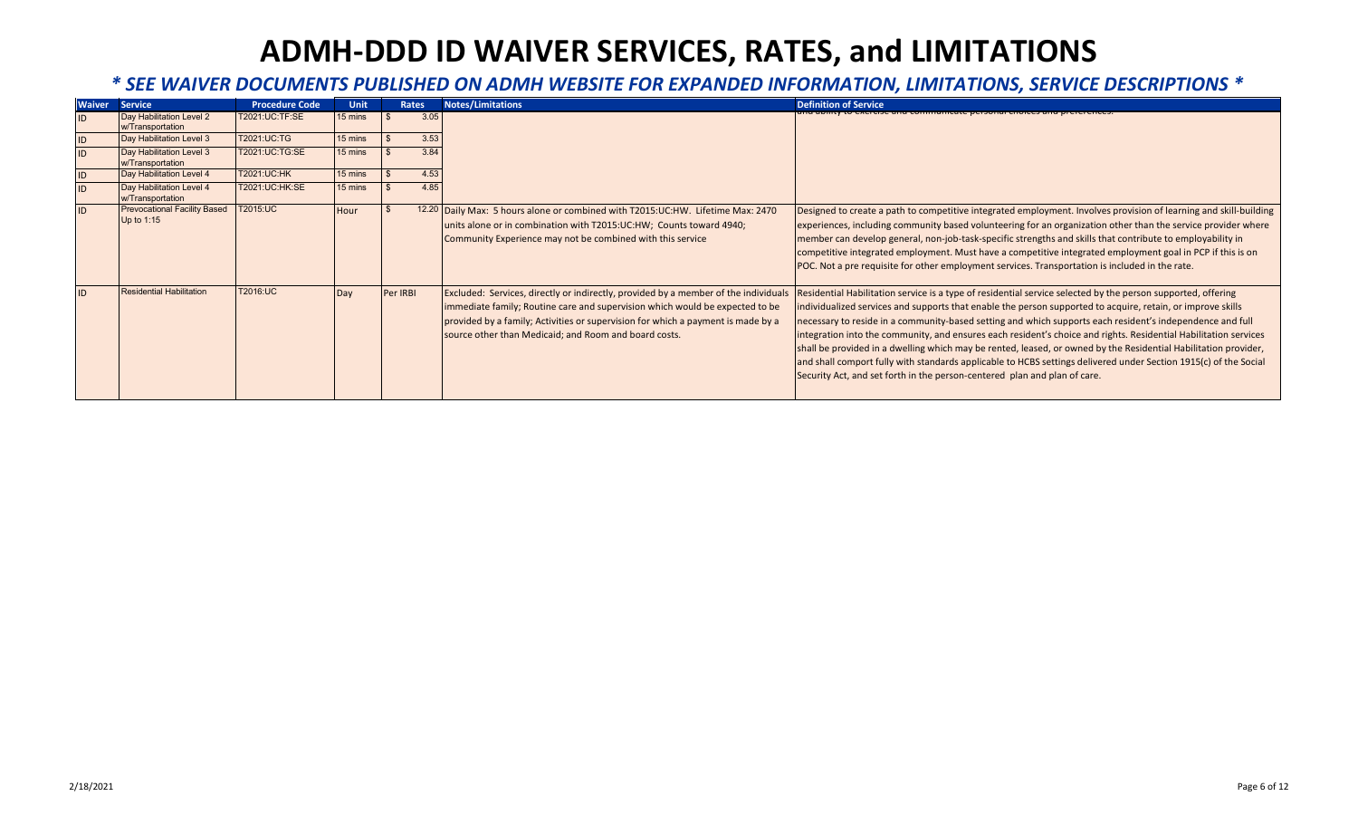| <b>Waiver</b> | <b>Service</b>                                    | <b>Procedure Code</b> | <b>Unit</b> |          | Rates | <b>Notes/Limitations</b>                                                                                                                                                                                                                                                                                         | <b>Definition of Service</b>                                                                                                                                                                                                                                                                                                                                                                                                                                                                                                                                                                                                                                                                                                                                                     |
|---------------|---------------------------------------------------|-----------------------|-------------|----------|-------|------------------------------------------------------------------------------------------------------------------------------------------------------------------------------------------------------------------------------------------------------------------------------------------------------------------|----------------------------------------------------------------------------------------------------------------------------------------------------------------------------------------------------------------------------------------------------------------------------------------------------------------------------------------------------------------------------------------------------------------------------------------------------------------------------------------------------------------------------------------------------------------------------------------------------------------------------------------------------------------------------------------------------------------------------------------------------------------------------------|
|               | Day Habilitation Level 2<br>w/Transportation      | T2021:UC:TF:SE        | 15 mins     |          | 3.05  |                                                                                                                                                                                                                                                                                                                  | אכרטסכ מחס פטחווווטוווטמנט אכרסטחמו טחטוטט פ                                                                                                                                                                                                                                                                                                                                                                                                                                                                                                                                                                                                                                                                                                                                     |
| ID            | Day Habilitation Level 3                          | T2021:UC:TG           | 15 mins     |          | 3.53  |                                                                                                                                                                                                                                                                                                                  |                                                                                                                                                                                                                                                                                                                                                                                                                                                                                                                                                                                                                                                                                                                                                                                  |
| ID            | Day Habilitation Level 3<br>w/Transportation      | T2021:UC:TG:SE        | 15 mins     |          | 3.84  |                                                                                                                                                                                                                                                                                                                  |                                                                                                                                                                                                                                                                                                                                                                                                                                                                                                                                                                                                                                                                                                                                                                                  |
| ID            | Day Habilitation Level 4                          | T2021:UC:HK           | 15 mins     |          | 4.53  |                                                                                                                                                                                                                                                                                                                  |                                                                                                                                                                                                                                                                                                                                                                                                                                                                                                                                                                                                                                                                                                                                                                                  |
|               | Day Habilitation Level 4<br>w/Transportation      | T2021:UC:HK:SE        | 15 mins     |          | 4.85  |                                                                                                                                                                                                                                                                                                                  |                                                                                                                                                                                                                                                                                                                                                                                                                                                                                                                                                                                                                                                                                                                                                                                  |
| ID            | <b>Prevocational Facility Based</b><br>Up to 1:15 | T2015:UC              | Hour        |          |       | 12.20 Daily Max: 5 hours alone or combined with T2015:UC:HW. Lifetime Max: 2470<br>units alone or in combination with T2015:UC:HW; Counts toward 4940;<br>Community Experience may not be combined with this service                                                                                             | Designed to create a path to competitive integrated employment. Involves provision of learning and skill-building<br>experiences, including community based volunteering for an organization other than the service provider where<br>member can develop general, non-job-task-specific strengths and skills that contribute to employability in<br>competitive integrated employment. Must have a competitive integrated employment goal in PCP if this is on<br>POC. Not a pre requisite for other employment services. Transportation is included in the rate.                                                                                                                                                                                                                |
| ID            | <b>Residential Habilitation</b>                   | T2016:UC              | Day         | Per IRBI |       | Excluded: Services, directly or indirectly, provided by a member of the individuals<br>immediate family; Routine care and supervision which would be expected to be<br>provided by a family; Activities or supervision for which a payment is made by a<br>source other than Medicaid; and Room and board costs. | Residential Habilitation service is a type of residential service selected by the person supported, offering<br>individualized services and supports that enable the person supported to acquire, retain, or improve skills<br>necessary to reside in a community-based setting and which supports each resident's independence and full<br>integration into the community, and ensures each resident's choice and rights. Residential Habilitation services<br>shall be provided in a dwelling which may be rented, leased, or owned by the Residential Habilitation provider,<br>and shall comport fully with standards applicable to HCBS settings delivered under Section 1915(c) of the Social<br>Security Act, and set forth in the person-centered plan and plan of care. |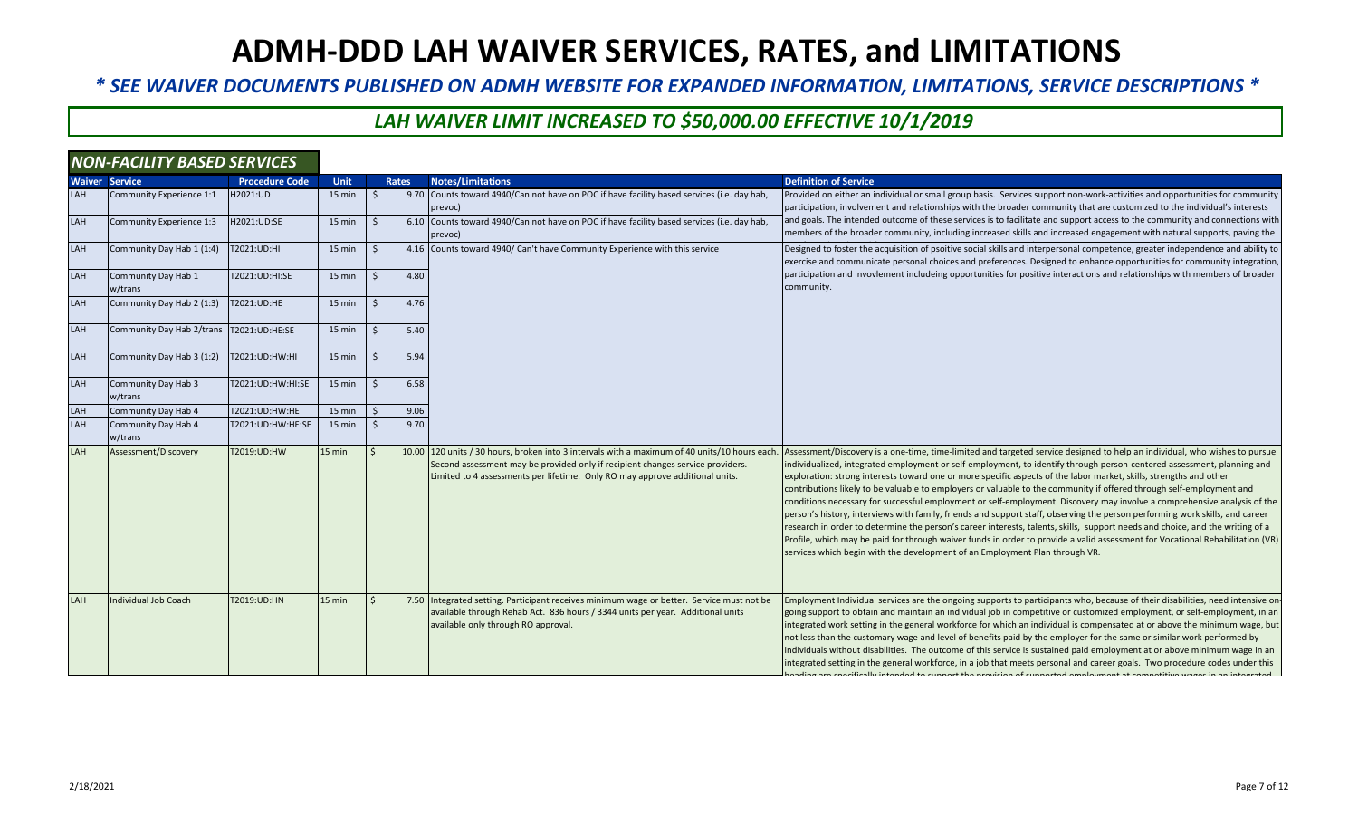*\* SEE WAIVER DOCUMENTS PUBLISHED ON ADMH WEBSITE FOR EXPANDED INFORMATION, LIMITATIONS, SERVICE DESCRIPTIONS \**

### *LAH WAIVER LIMIT INCREASED TO \$50,000.00 EFFECTIVE 10/1/2019*

|     | <b>NON-FACILITY BASED SERVICES</b>       |                       |             |    |              |                                                                                                                                                                                                                                                                 |                                                                                                                                                                                                                                                                                                                                                                                                                                                                                                                                                                                                                                                                                                                                                                                                                                                                                                                                                                                                                                                                                                                 |
|-----|------------------------------------------|-----------------------|-------------|----|--------------|-----------------------------------------------------------------------------------------------------------------------------------------------------------------------------------------------------------------------------------------------------------------|-----------------------------------------------------------------------------------------------------------------------------------------------------------------------------------------------------------------------------------------------------------------------------------------------------------------------------------------------------------------------------------------------------------------------------------------------------------------------------------------------------------------------------------------------------------------------------------------------------------------------------------------------------------------------------------------------------------------------------------------------------------------------------------------------------------------------------------------------------------------------------------------------------------------------------------------------------------------------------------------------------------------------------------------------------------------------------------------------------------------|
|     | <b>Waiver Service</b>                    | <b>Procedure Code</b> | <b>Unit</b> |    | <b>Rates</b> | <b>Notes/Limitations</b>                                                                                                                                                                                                                                        | <b>Definition of Service</b>                                                                                                                                                                                                                                                                                                                                                                                                                                                                                                                                                                                                                                                                                                                                                                                                                                                                                                                                                                                                                                                                                    |
| LAH | Community Experience 1:1                 | H2021:UD              | 15 min      |    |              | 9.70 Counts toward 4940/Can not have on POC if have facility based services (i.e. day hab,<br>prevoc)                                                                                                                                                           | Provided on either an individual or small group basis. Services support non-work-activities and opportunities for community<br>participation, involvement and relationships with the broader community that are customized to the individual's interests                                                                                                                                                                                                                                                                                                                                                                                                                                                                                                                                                                                                                                                                                                                                                                                                                                                        |
| LAH | Community Experience 1:3                 | H2021:UD:SE           | 15 min      |    |              | 6.10 Counts toward 4940/Can not have on POC if have facility based services (i.e. day hab,<br>prevoc)                                                                                                                                                           | and goals. The intended outcome of these services is to facilitate and support access to the community and connections with<br>members of the broader community, including increased skills and increased engagement with natural supports, paving the                                                                                                                                                                                                                                                                                                                                                                                                                                                                                                                                                                                                                                                                                                                                                                                                                                                          |
| LAH | Community Day Hab 1 (1:4)                | T2021:UD:HI           | 15 min      | ς  |              | 4.16 Counts toward 4940/ Can't have Community Experience with this service                                                                                                                                                                                      | Designed to foster the acquisition of psoitive social skills and interpersonal competence, greater independence and ability to<br>exercise and communicate personal choices and preferences. Designed to enhance opportunities for community integration                                                                                                                                                                                                                                                                                                                                                                                                                                                                                                                                                                                                                                                                                                                                                                                                                                                        |
| LAH | Community Day Hab 1<br>w/trans           | T2021:UD:HI:SE        | 15 min      | Ś. | 4.80         |                                                                                                                                                                                                                                                                 | participation and invovlement includeing opportunities for positive interactions and relationships with members of broader<br>community.                                                                                                                                                                                                                                                                                                                                                                                                                                                                                                                                                                                                                                                                                                                                                                                                                                                                                                                                                                        |
| LAH | Community Day Hab 2 (1:3)                | T2021:UD:HE           | 15 min      | Ś. | 4.76         |                                                                                                                                                                                                                                                                 |                                                                                                                                                                                                                                                                                                                                                                                                                                                                                                                                                                                                                                                                                                                                                                                                                                                                                                                                                                                                                                                                                                                 |
| LAH | Community Day Hab 2/trans T2021:UD:HE:SE |                       | 15 min      | Ś. | 5.40         |                                                                                                                                                                                                                                                                 |                                                                                                                                                                                                                                                                                                                                                                                                                                                                                                                                                                                                                                                                                                                                                                                                                                                                                                                                                                                                                                                                                                                 |
| LAH | Community Day Hab 3 (1:2)                | T2021:UD:HW:HI        | 15 min      | Ś. | 5.94         |                                                                                                                                                                                                                                                                 |                                                                                                                                                                                                                                                                                                                                                                                                                                                                                                                                                                                                                                                                                                                                                                                                                                                                                                                                                                                                                                                                                                                 |
| LAH | Community Day Hab 3<br>w/trans           | T2021:UD:HW:HI:SE     | 15 min      | Ś  | 6.58         |                                                                                                                                                                                                                                                                 |                                                                                                                                                                                                                                                                                                                                                                                                                                                                                                                                                                                                                                                                                                                                                                                                                                                                                                                                                                                                                                                                                                                 |
| LAH | Community Day Hab 4                      | T2021:UD:HW:HE        | 15 min      |    | 9.06         |                                                                                                                                                                                                                                                                 |                                                                                                                                                                                                                                                                                                                                                                                                                                                                                                                                                                                                                                                                                                                                                                                                                                                                                                                                                                                                                                                                                                                 |
| LAH | Community Day Hab 4<br>w/trans           | T2021:UD:HW:HE:SE     | 15 min      |    | 9.70         |                                                                                                                                                                                                                                                                 |                                                                                                                                                                                                                                                                                                                                                                                                                                                                                                                                                                                                                                                                                                                                                                                                                                                                                                                                                                                                                                                                                                                 |
| LAH | Assessment/Discovery                     | T2019:UD:HW           | 15 min      |    |              | 10.00 120 units / 30 hours, broken into 3 intervals with a maximum of 40 units/10 hours each.<br>Second assessment may be provided only if recipient changes service providers.<br>Limited to 4 assessments per lifetime. Only RO may approve additional units. | Assessment/Discovery is a one-time, time-limited and targeted service designed to help an individual, who wishes to pursue<br>individualized, integrated employment or self-employment, to identify through person-centered assessment, planning and<br>exploration: strong interests toward one or more specific aspects of the labor market, skills, strengths and other<br>contributions likely to be valuable to employers or valuable to the community if offered through self-employment and<br>conditions necessary for successful employment or self-employment. Discovery may involve a comprehensive analysis of the<br>person's history, interviews with family, friends and support staff, observing the person performing work skills, and career<br>research in order to determine the person's career interests, talents, skills, support needs and choice, and the writing of a<br>Profile, which may be paid for through waiver funds in order to provide a valid assessment for Vocational Rehabilitation (VR)<br>services which begin with the development of an Employment Plan through VR. |
| LAH | <b>Individual Job Coach</b>              | T2019:UD:HN           | 15 min      |    |              | 7.50 Integrated setting. Participant receives minimum wage or better. Service must not be<br>available through Rehab Act. 836 hours / 3344 units per year. Additional units<br>available only through RO approval.                                              | Employment Individual services are the ongoing supports to participants who, because of their disabilities, need intensive on-<br>going support to obtain and maintain an individual job in competitive or customized employment, or self-employment, in an<br>integrated work setting in the general workforce for which an individual is compensated at or above the minimum wage, but<br>not less than the customary wage and level of benefits paid by the employer for the same or similar work performed by<br>individuals without disabilities. The outcome of this service is sustained paid employment at or above minimum wage in an<br>integrated setting in the general workforce, in a job that meets personal and career goals. Two procedure codes under this<br>noading are concifically intended to cunnert the provision of cunnerted employment at competitive wages in an integrated.                                                                                                                                                                                                       |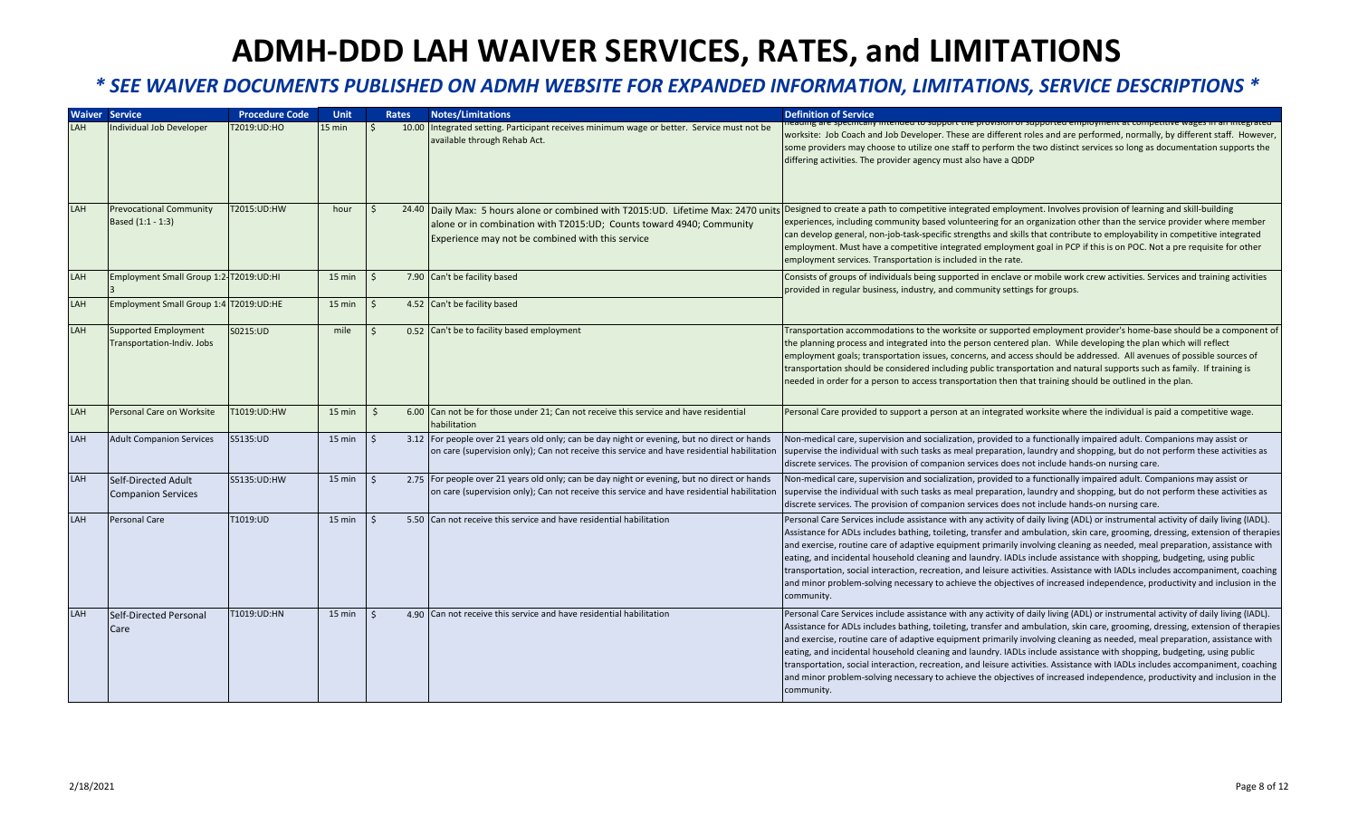|            | <b>Waiver Service</b>                                     | <b>Procedure Code</b> | <b>Unit</b> | <b>Rates</b> | <b>Notes/Limitations</b>                                                                                                                                                                  | <b>Definition of Service</b>                                                                                                                                                                                                                                                                                                                                                                                                                                                                                                                                                                                                                                                                                                                                                                                |
|------------|-----------------------------------------------------------|-----------------------|-------------|--------------|-------------------------------------------------------------------------------------------------------------------------------------------------------------------------------------------|-------------------------------------------------------------------------------------------------------------------------------------------------------------------------------------------------------------------------------------------------------------------------------------------------------------------------------------------------------------------------------------------------------------------------------------------------------------------------------------------------------------------------------------------------------------------------------------------------------------------------------------------------------------------------------------------------------------------------------------------------------------------------------------------------------------|
| LAH        | Individual Job Developer                                  | T2019:UD:HO           | 15 min      |              | 10.00 Integrated setting. Participant receives minimum wage or better. Service must not be<br>available through Rehab Act.                                                                | eading are specifically intended to support the provision or supported employment at competitive wages in an integrated<br>worksite: Job Coach and Job Developer. These are different roles and are performed, normally, by different staff. However,<br>some providers may choose to utilize one staff to perform the two distinct services so long as documentation supports the<br>differing activities. The provider agency must also have a QDDP                                                                                                                                                                                                                                                                                                                                                       |
| <b>LAH</b> | <b>Prevocational Community</b><br>Based (1:1 - 1:3)       | T2015:UD:HW           | hour        |              | alone or in combination with T2015:UD; Counts toward 4940; Community<br>Experience may not be combined with this service                                                                  | 24.40  Daily Max: 5 hours alone or combined with T2015:UD. Lifetime Max: 2470 units  Designed to create a path to competitive integrated employment. Involves provision of learning and skill-building<br>experiences, including community based volunteering for an organization other than the service provider where member<br>can develop general, non-job-task-specific strengths and skills that contribute to employability in competitive integrated<br>employment. Must have a competitive integrated employment goal in PCP if this is on POC. Not a pre requisite for other<br>employment services. Transportation is included in the rate.                                                                                                                                                      |
| LAH        | Employment Small Group 1:2-T2019:UD:HI                    |                       | $15$ min    |              | 7.90 Can't be facility based                                                                                                                                                              | Consists of groups of individuals being supported in enclave or mobile work crew activities. Services and training activities<br>provided in regular business, industry, and community settings for groups.                                                                                                                                                                                                                                                                                                                                                                                                                                                                                                                                                                                                 |
| LAH        | Employment Small Group 1:4 T2019:UD:HE                    |                       | 15 min      |              | 4.52 Can't be facility based                                                                                                                                                              |                                                                                                                                                                                                                                                                                                                                                                                                                                                                                                                                                                                                                                                                                                                                                                                                             |
| LAH        | <b>Supported Employment</b><br>Transportation-Indiv. Jobs | S0215:UD              | mile        |              | 0.52 Can't be to facility based employment                                                                                                                                                | Transportation accommodations to the worksite or supported employment provider's home-base should be a component of<br>the planning process and integrated into the person centered plan. While developing the plan which will reflect<br>employment goals; transportation issues, concerns, and access should be addressed. All avenues of possible sources of<br>transportation should be considered including public transportation and natural supports such as family. If training is<br>needed in order for a person to access transportation then that training should be outlined in the plan.                                                                                                                                                                                                      |
| LAH        | Personal Care on Worksite                                 | 1019:UD:HW            | 15 min      |              | 6.00 Can not be for those under 21; Can not receive this service and have residential<br>habilitation                                                                                     | Personal Care provided to support a person at an integrated worksite where the individual is paid a competitive wage.                                                                                                                                                                                                                                                                                                                                                                                                                                                                                                                                                                                                                                                                                       |
| LAH        | <b>Adult Companion Services</b>                           | S5135:UD              | $15$ min    |              | 3.12 For people over 21 years old only; can be day night or evening, but no direct or hands<br>on care (supervision only); Can not receive this service and have residential habilitation | Non-medical care, supervision and socialization, provided to a functionally impaired adult. Companions may assist or<br>supervise the individual with such tasks as meal preparation, laundry and shopping, but do not perform these activities as<br>discrete services. The provision of companion services does not include hands-on nursing care.                                                                                                                                                                                                                                                                                                                                                                                                                                                        |
| LAH        | Self-Directed Adult<br><b>Companion Services</b>          | S5135:UD:HW           | 15 min      |              | 2.75 For people over 21 years old only; can be day night or evening, but no direct or hands<br>on care (supervision only); Can not receive this service and have residential habilitation | Non-medical care, supervision and socialization, provided to a functionally impaired adult. Companions may assist or<br>supervise the individual with such tasks as meal preparation, laundry and shopping, but do not perform these activities as<br>discrete services. The provision of companion services does not include hands-on nursing care.                                                                                                                                                                                                                                                                                                                                                                                                                                                        |
| LAH        | Personal Care                                             | T1019:UD              | 15 min      |              | 5.50 Can not receive this service and have residential habilitation                                                                                                                       | Personal Care Services include assistance with any activity of daily living (ADL) or instrumental activity of daily living (IADL).<br>Assistance for ADLs includes bathing, toileting, transfer and ambulation, skin care, grooming, dressing, extension of therapies<br>and exercise, routine care of adaptive equipment primarily involving cleaning as needed, meal preparation, assistance with<br>eating, and incidental household cleaning and laundry. IADLs include assistance with shopping, budgeting, using public<br>transportation, social interaction, recreation, and leisure activities. Assistance with IADLs includes accompaniment, coaching<br>and minor problem-solving necessary to achieve the objectives of increased independence, productivity and inclusion in the<br>community. |
| LAH        | Self-Directed Personal<br>Care                            | T1019:UD:HN           | $15$ min    |              | 4.90 Can not receive this service and have residential habilitation                                                                                                                       | Personal Care Services include assistance with any activity of daily living (ADL) or instrumental activity of daily living (IADL).<br>Assistance for ADLs includes bathing, toileting, transfer and ambulation, skin care, grooming, dressing, extension of therapies<br>and exercise, routine care of adaptive equipment primarily involving cleaning as needed, meal preparation, assistance with<br>eating, and incidental household cleaning and laundry. IADLs include assistance with shopping, budgeting, using public<br>transportation, social interaction, recreation, and leisure activities. Assistance with IADLs includes accompaniment, coaching<br>and minor problem-solving necessary to achieve the objectives of increased independence, productivity and inclusion in the<br>community. |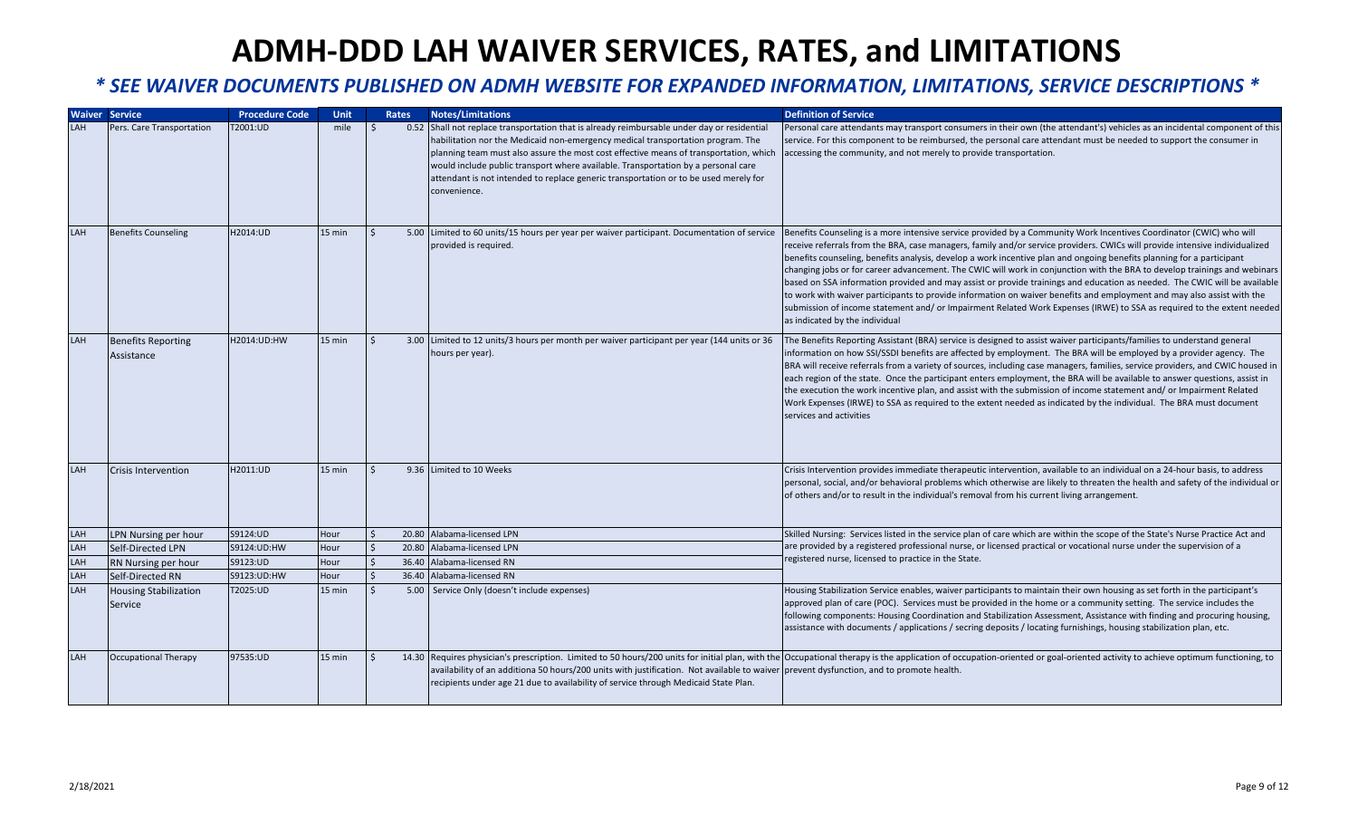|            | <b>Waiver Service</b>                   | <b>Procedure Code</b> | <b>Unit</b> |              | <b>Rates</b> | <b>Notes/Limitations</b>                                                                                                                                                                                                                                                                                                                                                                                                                                             | <b>Definition of Service</b>                                                                                                                                                                                                                                                                                                                                                                                                                                                                                                                                                                                                                                                                                                                                                                                                                                                                                               |
|------------|-----------------------------------------|-----------------------|-------------|--------------|--------------|----------------------------------------------------------------------------------------------------------------------------------------------------------------------------------------------------------------------------------------------------------------------------------------------------------------------------------------------------------------------------------------------------------------------------------------------------------------------|----------------------------------------------------------------------------------------------------------------------------------------------------------------------------------------------------------------------------------------------------------------------------------------------------------------------------------------------------------------------------------------------------------------------------------------------------------------------------------------------------------------------------------------------------------------------------------------------------------------------------------------------------------------------------------------------------------------------------------------------------------------------------------------------------------------------------------------------------------------------------------------------------------------------------|
| LAH        | Pers. Care Transportation               | T2001:UD              | mile        | Ś.           |              | 0.52 Shall not replace transportation that is already reimbursable under day or residential<br>habilitation nor the Medicaid non-emergency medical transportation program. The<br>planning team must also assure the most cost effective means of transportation, which<br>would include public transport where available. Transportation by a personal care<br>attendant is not intended to replace generic transportation or to be used merely for<br>convenience. | Personal care attendants may transport consumers in their own (the attendant's) vehicles as an incidental component of this<br>service. For this component to be reimbursed, the personal care attendant must be needed to support the consumer in<br>accessing the community, and not merely to provide transportation.                                                                                                                                                                                                                                                                                                                                                                                                                                                                                                                                                                                                   |
| <b>LAH</b> | <b>Benefits Counseling</b>              | H2014:UD              | 15 min      | $\mathsf{S}$ |              | 5.00 Limited to 60 units/15 hours per year per waiver participant. Documentation of service<br>provided is required.                                                                                                                                                                                                                                                                                                                                                 | Benefits Counseling is a more intensive service provided by a Community Work Incentives Coordinator (CWIC) who will<br>receive referrals from the BRA, case managers, family and/or service providers. CWICs will provide intensive individualized<br>benefits counseling, benefits analysis, develop a work incentive plan and ongoing benefits planning for a participant<br>changing jobs or for career advancement. The CWIC will work in conjunction with the BRA to develop trainings and webinars<br>based on SSA information provided and may assist or provide trainings and education as needed. The CWIC will be available<br>to work with waiver participants to provide information on waiver benefits and employment and may also assist with the<br>submission of income statement and/or Impairment Related Work Expenses (IRWE) to SSA as required to the extent needed<br>as indicated by the individual |
| LAH        | <b>Benefits Reporting</b><br>Assistance | H2014:UD:HW           | 15 min      | <sup>5</sup> |              | 3.00 Limited to 12 units/3 hours per month per waiver participant per year (144 units or 36<br>hours per year).                                                                                                                                                                                                                                                                                                                                                      | The Benefits Reporting Assistant (BRA) service is designed to assist waiver participants/families to understand general<br>information on how SSI/SSDI benefits are affected by employment. The BRA will be employed by a provider agency. The<br>BRA will receive referrals from a variety of sources, including case managers, families, service providers, and CWIC housed in<br>each region of the state. Once the participant enters employment, the BRA will be available to answer questions, assist in<br>the execution the work incentive plan, and assist with the submission of income statement and/ or Impairment Related<br>Work Expenses (IRWE) to SSA as required to the extent needed as indicated by the individual. The BRA must document<br>services and activities                                                                                                                                    |
| <b>LAH</b> | <b>Crisis Intervention</b>              | H2011:UD              | 15 min      | $\zeta$      |              | 9.36 Limited to 10 Weeks                                                                                                                                                                                                                                                                                                                                                                                                                                             | Crisis Intervention provides immediate therapeutic intervention, available to an individual on a 24-hour basis, to address<br>personal, social, and/or behavioral problems which otherwise are likely to threaten the health and safety of the individual or<br>of others and/or to result in the individual's removal from his current living arrangement.                                                                                                                                                                                                                                                                                                                                                                                                                                                                                                                                                                |
| LAH        | LPN Nursing per hour                    | S9124:UD              | Hour        |              |              | 20.80 Alabama-licensed LPN                                                                                                                                                                                                                                                                                                                                                                                                                                           | Skilled Nursing: Services listed in the service plan of care which are within the scope of the State's Nurse Practice Act and                                                                                                                                                                                                                                                                                                                                                                                                                                                                                                                                                                                                                                                                                                                                                                                              |
| LAH        | Self-Directed LPN                       | S9124:UD:HW           | Hour        |              |              | 20.80 Alabama-licensed LPN                                                                                                                                                                                                                                                                                                                                                                                                                                           | are provided by a registered professional nurse, or licensed practical or vocational nurse under the supervision of a                                                                                                                                                                                                                                                                                                                                                                                                                                                                                                                                                                                                                                                                                                                                                                                                      |
| LAH        | RN Nursing per hour                     | S9123:UD              | Hour        |              |              | 36.40 Alabama-licensed RN                                                                                                                                                                                                                                                                                                                                                                                                                                            | registered nurse, licensed to practice in the State.                                                                                                                                                                                                                                                                                                                                                                                                                                                                                                                                                                                                                                                                                                                                                                                                                                                                       |
| LAH        | Self-Directed RN                        | S9123:UD:HW           | Hour        |              |              | 36.40 Alabama-licensed RN                                                                                                                                                                                                                                                                                                                                                                                                                                            |                                                                                                                                                                                                                                                                                                                                                                                                                                                                                                                                                                                                                                                                                                                                                                                                                                                                                                                            |
| <b>LAH</b> | <b>Housing Stabilization</b><br>Service | T2025:UD              | 15 min      | $\zeta$      |              | 5.00 Service Only (doesn't include expenses)                                                                                                                                                                                                                                                                                                                                                                                                                         | Housing Stabilization Service enables, waiver participants to maintain their own housing as set forth in the participant's<br>approved plan of care (POC). Services must be provided in the home or a community setting. The service includes the<br>following components: Housing Coordination and Stabilization Assessment, Assistance with finding and procuring housing,<br>assistance with documents / applications / secring deposits / locating furnishings, housing stabilization plan, etc.                                                                                                                                                                                                                                                                                                                                                                                                                       |
| <b>LAH</b> | <b>Occupational Therapy</b>             | 97535:UD              | 15 min      | l S          |              | availability of an additiona 50 hours/200 units with justification. Not available to waiver prevent dysfunction, and to promote health.<br>recipients under age 21 due to availability of service through Medicaid State Plan.                                                                                                                                                                                                                                       | 14.30 Requires physician's prescription. Limited to 50 hours/200 units for initial plan, with the Occupational therapy is the application of occupation-oriented or goal-oriented activity to achieve optimum functioning, to                                                                                                                                                                                                                                                                                                                                                                                                                                                                                                                                                                                                                                                                                              |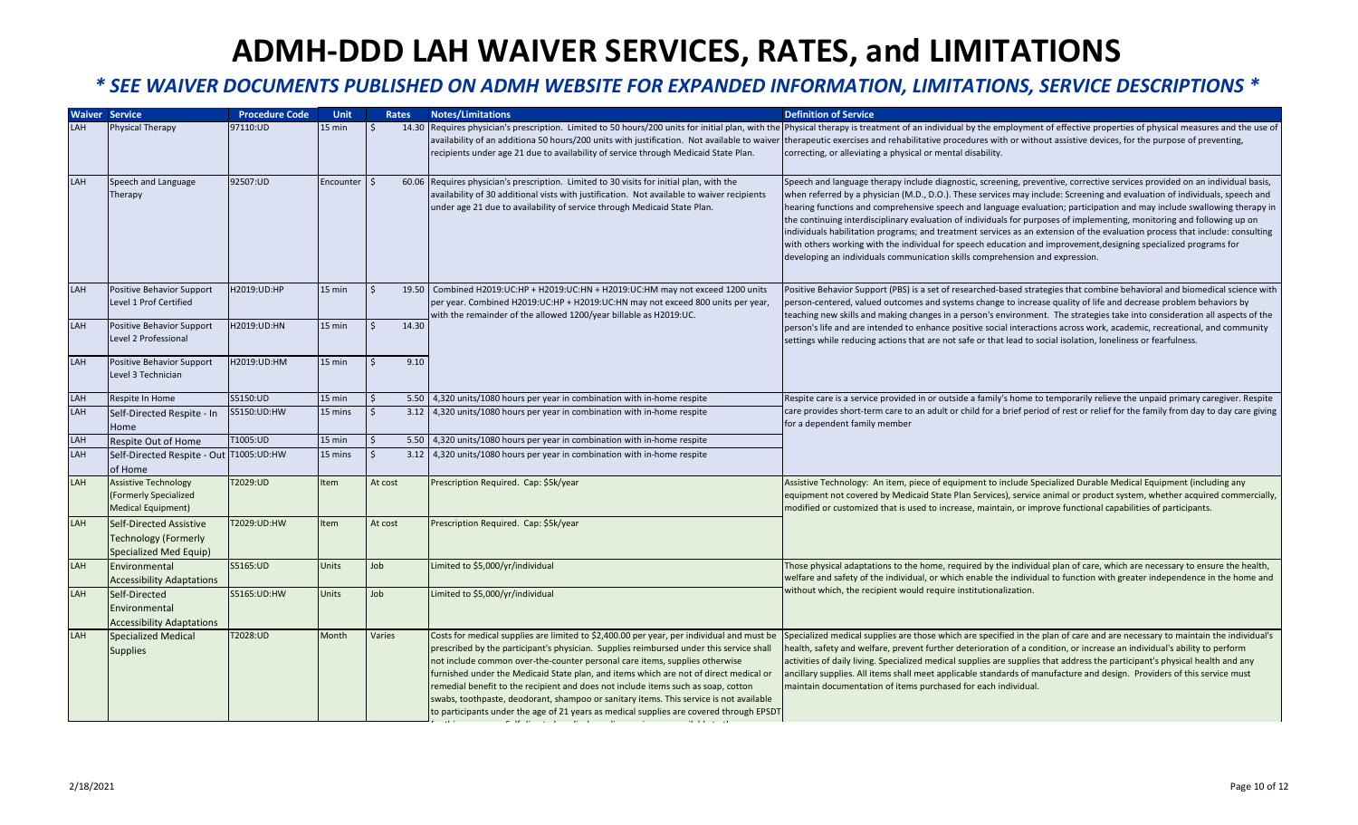|     | <b>Waiver Service</b>                                                            | <b>Procedure Code</b> | <b>Unit</b>  |         | <b>Rates</b> | <b>Notes/Limitations</b>                                                                                                                                                                                                                                                                                                                                                                                                                                                                                                                                                                                                               | <b>Definition of Service</b>                                                                                                                                                                                                                                                                                                                                                                                                                                                                                                                                                                                                                                                                                                                                                                                                                        |
|-----|----------------------------------------------------------------------------------|-----------------------|--------------|---------|--------------|----------------------------------------------------------------------------------------------------------------------------------------------------------------------------------------------------------------------------------------------------------------------------------------------------------------------------------------------------------------------------------------------------------------------------------------------------------------------------------------------------------------------------------------------------------------------------------------------------------------------------------------|-----------------------------------------------------------------------------------------------------------------------------------------------------------------------------------------------------------------------------------------------------------------------------------------------------------------------------------------------------------------------------------------------------------------------------------------------------------------------------------------------------------------------------------------------------------------------------------------------------------------------------------------------------------------------------------------------------------------------------------------------------------------------------------------------------------------------------------------------------|
| LAH | <b>Physical Therapy</b>                                                          | 97110:UD              | 15 min       | ς       |              | availability of an additiona 50 hours/200 units with justification. Not available to waiver<br>recipients under age 21 due to availability of service through Medicaid State Plan.                                                                                                                                                                                                                                                                                                                                                                                                                                                     | 14.30 Requires physician's prescription. Limited to 50 hours/200 units for initial plan, with the Physical therapy is treatment of an individual by the employment of effective properties of physical measures and the use of<br>therapeutic exercises and rehabilitative procedures with or without assistive devices, for the purpose of preventing,<br>correcting, or alleviating a physical or mental disability.                                                                                                                                                                                                                                                                                                                                                                                                                              |
| LAH | Speech and Language<br>Therapy                                                   | 92507:UD              | Encounter    |         |              | 60.06 Requires physician's prescription. Limited to 30 visits for initial plan, with the<br>availability of 30 additional vists with justification. Not available to waiver recipients<br>under age 21 due to availability of service through Medicaid State Plan.                                                                                                                                                                                                                                                                                                                                                                     | Speech and language therapy include diagnostic, screening, preventive, corrective services provided on an individual basis,<br>when referred by a physician (M.D., D.O.). These services may include: Screening and evaluation of individuals, speech and<br>hearing functions and comprehensive speech and language evaluation; participation and may include swallowing therapy in<br>the continuing interdisciplinary evaluation of individuals for purposes of implementing, monitoring and following up on<br>individuals habilitation programs; and treatment services as an extension of the evaluation process that include: consulting<br>with others working with the individual for speech education and improvement, designing specialized programs for<br>developing an individuals communication skills comprehension and expression. |
| LAH | Positive Behavior Support<br>Level 1 Prof Certified                              | H2019:UD:HP           | 15 min       |         |              | 19.50 Combined H2019:UC:HP + H2019:UC:HN + H2019:UC:HM may not exceed 1200 units<br>per year. Combined H2019:UC:HP + H2019:UC:HN may not exceed 800 units per year,<br>with the remainder of the allowed 1200/year billable as H2019:UC.                                                                                                                                                                                                                                                                                                                                                                                               | Positive Behavior Support (PBS) is a set of researched-based strategies that combine behavioral and biomedical science with<br>person-centered, valued outcomes and systems change to increase quality of life and decrease problem behaviors by<br>teaching new skills and making changes in a person's environment. The strategies take into consideration all aspects of the                                                                                                                                                                                                                                                                                                                                                                                                                                                                     |
| LAH | Positive Behavior Support<br>Level 2 Professional                                | H2019:UD:HN           | 15 min       |         | 14.30        |                                                                                                                                                                                                                                                                                                                                                                                                                                                                                                                                                                                                                                        | person's life and are intended to enhance positive social interactions across work, academic, recreational, and community<br>settings while reducing actions that are not safe or that lead to social isolation, loneliness or fearfulness.                                                                                                                                                                                                                                                                                                                                                                                                                                                                                                                                                                                                         |
| LAH | Positive Behavior Support<br>Level 3 Technician                                  | H2019:UD:HM           | 15 min       |         | 9.10         |                                                                                                                                                                                                                                                                                                                                                                                                                                                                                                                                                                                                                                        |                                                                                                                                                                                                                                                                                                                                                                                                                                                                                                                                                                                                                                                                                                                                                                                                                                                     |
| LAH | Respite In Home                                                                  | S5150:UD              | $15$ min     |         | 5.50         | 4,320 units/1080 hours per year in combination with in-home respite                                                                                                                                                                                                                                                                                                                                                                                                                                                                                                                                                                    | Respite care is a service provided in or outside a family's home to temporarily relieve the unpaid primary caregiver. Respite                                                                                                                                                                                                                                                                                                                                                                                                                                                                                                                                                                                                                                                                                                                       |
| LAH | Self-Directed Respite - In<br>Home                                               | S5150:UD:HW           | 15 mins      |         | 3.12         | 4,320 units/1080 hours per year in combination with in-home respite                                                                                                                                                                                                                                                                                                                                                                                                                                                                                                                                                                    | care provides short-term care to an adult or child for a brief period of rest or relief for the family from day to day care giving<br>for a dependent family member                                                                                                                                                                                                                                                                                                                                                                                                                                                                                                                                                                                                                                                                                 |
| LAH | Respite Out of Home                                                              | T1005:UD              | 15 min       |         | 5.50         | 4,320 units/1080 hours per year in combination with in-home respite                                                                                                                                                                                                                                                                                                                                                                                                                                                                                                                                                                    |                                                                                                                                                                                                                                                                                                                                                                                                                                                                                                                                                                                                                                                                                                                                                                                                                                                     |
| LAH | Self-Directed Respite - Out T1005:UD:HW<br>of Home                               |                       | 15 mins      |         | 3.12         | 4,320 units/1080 hours per year in combination with in-home respite                                                                                                                                                                                                                                                                                                                                                                                                                                                                                                                                                                    |                                                                                                                                                                                                                                                                                                                                                                                                                                                                                                                                                                                                                                                                                                                                                                                                                                                     |
| LAH | <b>Assistive Technology</b><br>(Formerly Specialized<br>Medical Equipment)       | T2029:UD              | Item         | At cost |              | Prescription Required. Cap: \$5k/year                                                                                                                                                                                                                                                                                                                                                                                                                                                                                                                                                                                                  | Assistive Technology: An item, piece of equipment to include Specialized Durable Medical Equipment (including any<br>equipment not covered by Medicaid State Plan Services), service animal or product system, whether acquired commercially,<br>modified or customized that is used to increase, maintain, or improve functional capabilities of participants.                                                                                                                                                                                                                                                                                                                                                                                                                                                                                     |
| LAH | Self-Directed Assistive<br><b>Technology (Formerly</b><br>Specialized Med Equip) | T2029:UD:HW           | Item         | At cost |              | Prescription Required. Cap: \$5k/year                                                                                                                                                                                                                                                                                                                                                                                                                                                                                                                                                                                                  |                                                                                                                                                                                                                                                                                                                                                                                                                                                                                                                                                                                                                                                                                                                                                                                                                                                     |
| LAH | Environmental<br><b>Accessibility Adaptations</b>                                | S5165:UD              | Units        | Job     |              | Limited to \$5,000/yr/individual                                                                                                                                                                                                                                                                                                                                                                                                                                                                                                                                                                                                       | Those physical adaptations to the home, required by the individual plan of care, which are necessary to ensure the health,<br>welfare and safety of the individual, or which enable the individual to function with greater independence in the home and                                                                                                                                                                                                                                                                                                                                                                                                                                                                                                                                                                                            |
| LAH | Self-Directed<br>Environmental<br><b>Accessibility Adaptations</b>               | S5165:UD:HW           | <b>Units</b> | Job     |              | Limited to \$5,000/yr/individual                                                                                                                                                                                                                                                                                                                                                                                                                                                                                                                                                                                                       | without which, the recipient would require institutionalization.                                                                                                                                                                                                                                                                                                                                                                                                                                                                                                                                                                                                                                                                                                                                                                                    |
| LAH | Specialized Medical<br><b>Supplies</b>                                           | T2028:UD              | Month        | Varies  |              | Costs for medical supplies are limited to \$2,400.00 per year, per individual and must be<br>prescribed by the participant's physician. Supplies reimbursed under this service shall<br>not include common over-the-counter personal care items, supplies otherwise<br>furnished under the Medicaid State plan, and items which are not of direct medical or<br>remedial benefit to the recipient and does not include items such as soap, cotton<br>swabs, toothpaste, deodorant, shampoo or sanitary items. This service is not available<br>to participants under the age of 21 years as medical supplies are covered through EPSDT | Specialized medical supplies are those which are specified in the plan of care and are necessary to maintain the individual's<br>nealth, safety and welfare, prevent further deterioration of a condition, or increase an individual's ability to perform<br>activities of daily living. Specialized medical supplies are supplies that address the participant's physical health and any<br>ancillary supplies. All items shall meet applicable standards of manufacture and design. Providers of this service must<br>maintain documentation of items purchased for each individual.                                                                                                                                                                                                                                                              |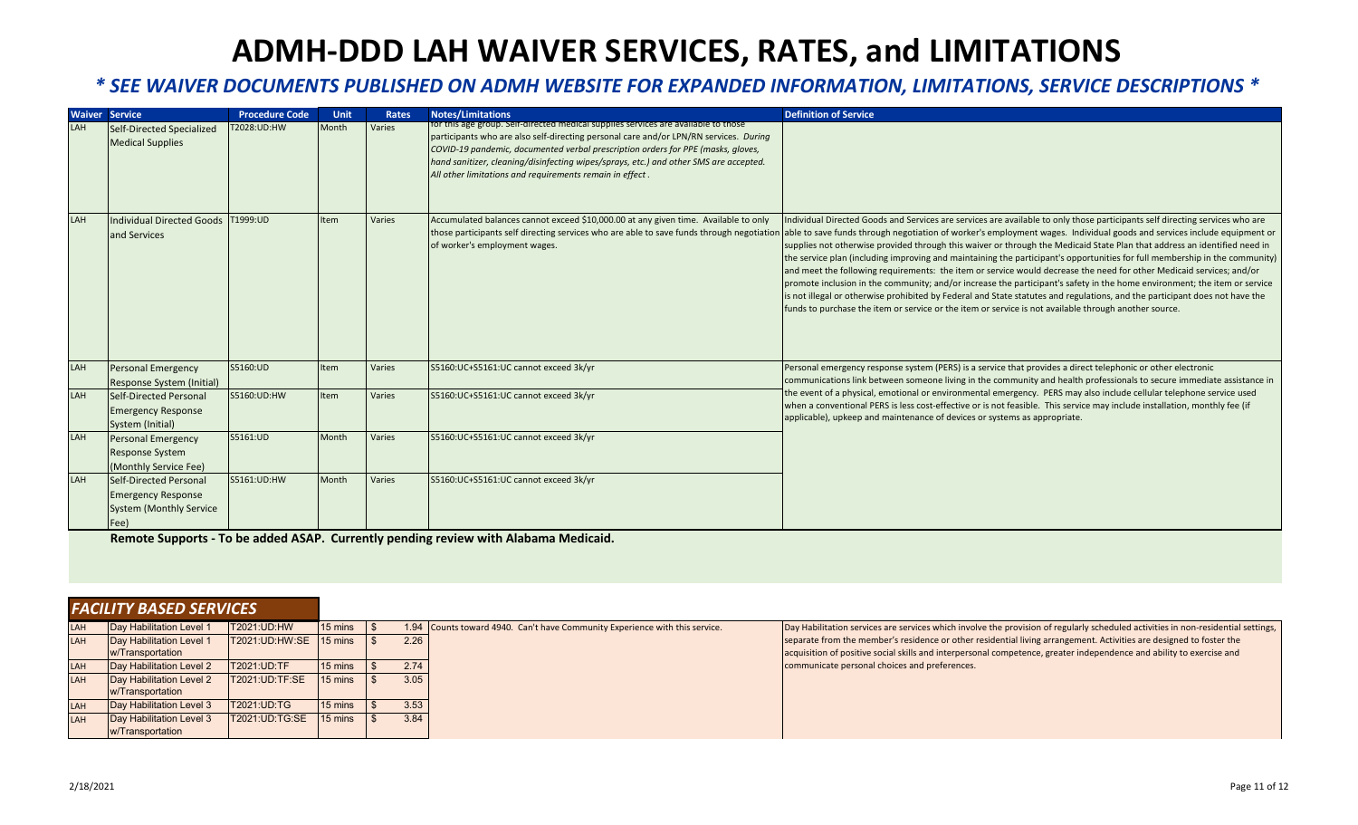#### **ADMH-DDD LAH WAIVER SERVICES, RATES, and LIMITATIONS** l  $\overline{a}$ l

#### *\* SEE WAIVER DOCUMENTS PUBLISHED ON ADMH WEBSITE FOR EXPANDED INFORMATION, LIMITATIONS, SERVICE DESCRIPTIONS \** l l ļ

|            | <b>Waiver Service</b>                                                                         | <b>Procedure Code</b> | <b>Unit</b> | Rates  | <b>Notes/Limitations</b>                                                                                                                                                                                                                                                                                                                                                                                             | <b>Definition of Service</b>                                                                                                                                                                                                                                                                                                                                                                                                                                                                                                                                                                                                                                                                                                                                                                                                                                                                                                                                                                                     |
|------------|-----------------------------------------------------------------------------------------------|-----------------------|-------------|--------|----------------------------------------------------------------------------------------------------------------------------------------------------------------------------------------------------------------------------------------------------------------------------------------------------------------------------------------------------------------------------------------------------------------------|------------------------------------------------------------------------------------------------------------------------------------------------------------------------------------------------------------------------------------------------------------------------------------------------------------------------------------------------------------------------------------------------------------------------------------------------------------------------------------------------------------------------------------------------------------------------------------------------------------------------------------------------------------------------------------------------------------------------------------------------------------------------------------------------------------------------------------------------------------------------------------------------------------------------------------------------------------------------------------------------------------------|
| LAH        | Self-Directed Specialized<br><b>Medical Supplies</b>                                          | T2028:UD:HW           | Month       | Varies | for this age group. Self-directed medical supplies services are available to those<br>participants who are also self-directing personal care and/or LPN/RN services. During<br>COVID-19 pandemic, documented verbal prescription orders for PPE (masks, gloves,<br>hand sanitizer, cleaning/disinfecting wipes/sprays, etc.) and other SMS are accepted.<br>All other limitations and requirements remain in effect. |                                                                                                                                                                                                                                                                                                                                                                                                                                                                                                                                                                                                                                                                                                                                                                                                                                                                                                                                                                                                                  |
| LAH        | Individual Directed Goods<br>land Services                                                    | T1999:UD              | <b>Item</b> | Varies | Accumulated balances cannot exceed \$10,000.00 at any given time. Available to only<br>those participants self directing services who are able to save funds through negotiation<br>of worker's employment wages.                                                                                                                                                                                                    | Individual Directed Goods and Services are services are available to only those participants self directing services who are<br>able to save funds through negotiation of worker's employment wages. Individual goods and services include equipment or<br>supplies not otherwise provided through this waiver or through the Medicaid State Plan that address an identified need in<br>the service plan (including improving and maintaining the participant's opportunities for full membership in the community)<br>and meet the following requirements: the item or service would decrease the need for other Medicaid services; and/or<br>promote inclusion in the community; and/or increase the participant's safety in the home environment; the item or service<br>is not illegal or otherwise prohibited by Federal and State statutes and regulations, and the participant does not have the<br>funds to purchase the item or service or the item or service is not available through another source. |
| LAH        | Personal Emergency<br>Response System (Initial)                                               | S5160:UD              | <b>Item</b> | Varies | S5160:UC+S5161:UC cannot exceed 3k/yr                                                                                                                                                                                                                                                                                                                                                                                | Personal emergency response system (PERS) is a service that provides a direct telephonic or other electronic<br>communications link between someone living in the community and health professionals to secure immediate assistance in                                                                                                                                                                                                                                                                                                                                                                                                                                                                                                                                                                                                                                                                                                                                                                           |
| LAH        | Self-Directed Personal<br><b>Emergency Response</b><br>System (Initial)                       | S5160:UD:HW           | <b>Item</b> | Varies | S5160:UC+S5161:UC cannot exceed 3k/yr                                                                                                                                                                                                                                                                                                                                                                                | the event of a physical, emotional or environmental emergency. PERS may also include cellular telephone service used<br>when a conventional PERS is less cost-effective or is not feasible. This service may include installation, monthly fee (if<br>applicable), upkeep and maintenance of devices or systems as appropriate.                                                                                                                                                                                                                                                                                                                                                                                                                                                                                                                                                                                                                                                                                  |
| LAH        | <b>Personal Emergency</b><br><b>Response System</b><br>(Monthly Service Fee)                  | S5161:UD              | Month       | Varies | S5160:UC+S5161:UC cannot exceed 3k/yr                                                                                                                                                                                                                                                                                                                                                                                |                                                                                                                                                                                                                                                                                                                                                                                                                                                                                                                                                                                                                                                                                                                                                                                                                                                                                                                                                                                                                  |
| <b>LAH</b> | Self-Directed Personal<br><b>Emergency Response</b><br><b>System (Monthly Service</b><br>(Fee | S5161:UD:HW           | Month       | Varies | S5160:UC+S5161:UC cannot exceed 3k/yr                                                                                                                                                                                                                                                                                                                                                                                |                                                                                                                                                                                                                                                                                                                                                                                                                                                                                                                                                                                                                                                                                                                                                                                                                                                                                                                                                                                                                  |

**Remote Supports - To be added ASAP. Currently pending review with Alabama Medicaid.**

| <b>FACILITY BASED SERVICES</b> |                                 |                       |                   |      |                                                                             |                                                                                                                                   |
|--------------------------------|---------------------------------|-----------------------|-------------------|------|-----------------------------------------------------------------------------|-----------------------------------------------------------------------------------------------------------------------------------|
| <b>ILAH</b>                    | Day Habilitation Level 1        | <b>T2021:UD:HW</b>    | 15 mins           |      | 1.94 Counts toward 4940. Can't have Community Experience with this service. | Day Habilitation services are services which involve the provision of regularly scheduled activities in non-residential settings, |
| <b>ILAH</b>                    | <b>Day Habilitation Level 1</b> | <b>T2021:UD:HW:SE</b> | $15 \text{ mins}$ | 2.26 |                                                                             | separate from the member's residence or other residential living arrangement. Activities are designed to foster the               |
|                                | w/Transportation                |                       |                   |      |                                                                             | acquisition of positive social skills and interpersonal competence, greater independence and ability to exercise and              |
| LAH                            | Day Habilitation Level 2        | T2021:UD:TF           | 15 mins           | 2.74 |                                                                             | communicate personal choices and preferences.                                                                                     |
| <b>LAH</b>                     | Day Habilitation Level 2        | <b>T2021:UD:TF:SE</b> | 15 mins           | 3.05 |                                                                             |                                                                                                                                   |
|                                | w/Transportation                |                       |                   |      |                                                                             |                                                                                                                                   |
| LAH                            | Day Habilitation Level 3        | <b>T2021:UD:TG</b>    | 15 mins           | 3.53 |                                                                             |                                                                                                                                   |
| <b>LAH</b>                     | Day Habilitation Level 3        | <b>T2021:UD:TG:SE</b> | 15 mins           | 3.84 |                                                                             |                                                                                                                                   |
|                                | w/Transportation                |                       |                   |      |                                                                             |                                                                                                                                   |